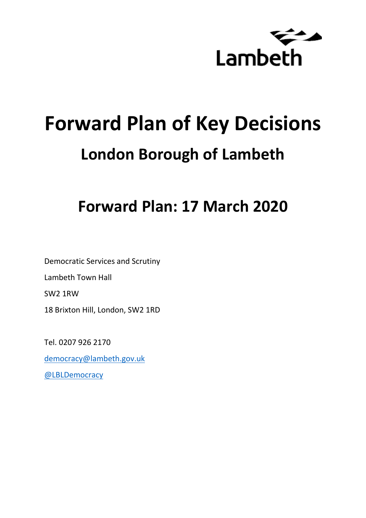

# **Forward Plan of Key Decisions London Borough of Lambeth**

# **Forward Plan: 17 March 2020**

Democratic Services and Scrutiny Lambeth Town Hall SW2 1RW 18 Brixton Hill, London, SW2 1RD

Tel. 0207 926 2170

[democracy@lambeth.gov.uk](mailto:democracy@lambeth.gov.uk)

[@LBLDemocracy](https://twitter.com/LBLDemocracy?lang=en)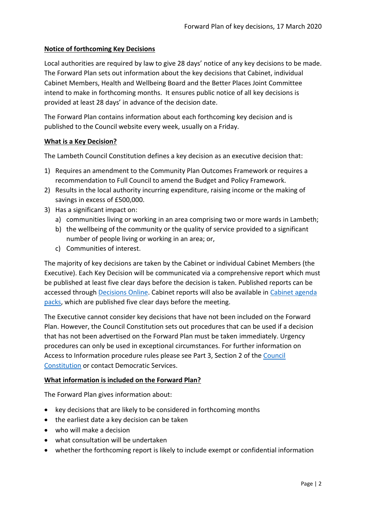# **Notice of forthcoming Key Decisions**

Local authorities are required by law to give 28 days' notice of any key decisions to be made. The Forward Plan sets out information about the key decisions that Cabinet, individual Cabinet Members, Health and Wellbeing Board and the Better Places Joint Committee intend to make in forthcoming months. It ensures public notice of all key decisions is provided at least 28 days' in advance of the decision date.

The Forward Plan contains information about each forthcoming key decision and is published to the Council website every week, usually on a Friday.

# **What is a Key Decision?**

The Lambeth Council Constitution defines a key decision as an executive decision that:

- 1) Requires an amendment to the Community Plan Outcomes Framework or requires a recommendation to Full Council to amend the Budget and Policy Framework.
- 2) Results in the local authority incurring expenditure, raising income or the making of savings in excess of £500,000.
- 3) Has a significant impact on:
	- a) communities living or working in an area comprising two or more wards in Lambeth;
	- b) the wellbeing of the community or the quality of service provided to a significant number of people living or working in an area; or,
	- c) Communities of interest.

The majority of key decisions are taken by the Cabinet or individual Cabinet Members (the Executive). Each Key Decision will be communicated via a comprehensive report which must be published at least five clear days before the decision is taken. Published reports can be accessed through [Decisions Online.](http://moderngov.lambeth.gov.uk/mgDelegatedDecisions.aspx?bcr=1&DM=0&DS=2&K=0&DR=&V=0) Cabinet reports will also be available in [Cabinet agenda](https://moderngov.lambeth.gov.uk/ieListMeetings.aspx?CommitteeId=225)  [packs,](https://moderngov.lambeth.gov.uk/ieListMeetings.aspx?CommitteeId=225) which are published five clear days before the meeting.

The Executive cannot consider key decisions that have not been included on the Forward Plan. However, the Council Constitution sets out procedures that can be used if a decision that has not been advertised on the Forward Plan must be taken immediately. Urgency procedures can only be used in exceptional circumstances. For further information on Access to Information procedure rules please see Part 3, Section 2 of the [Council](http://moderngov.lambeth.gov.uk/ieListMeetings.aspx?CId=738&info=1&MD=Constitution)  [Constitution](http://moderngov.lambeth.gov.uk/ieListMeetings.aspx?CId=738&info=1&MD=Constitution) or contact Democratic Services.

# **What information is included on the Forward Plan?**

The Forward Plan gives information about:

- key decisions that are likely to be considered in forthcoming months
- the earliest date a key decision can be taken
- who will make a decision
- what consultation will be undertaken
- whether the forthcoming report is likely to include exempt or confidential information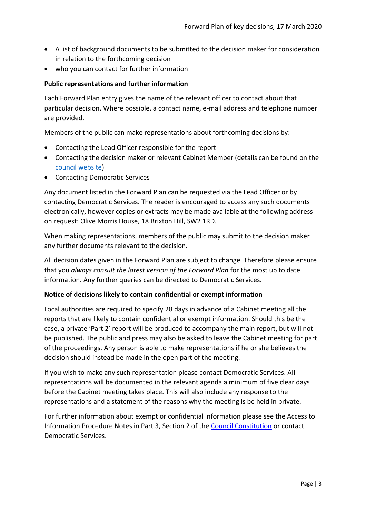- A list of background documents to be submitted to the decision maker for consideration in relation to the forthcoming decision
- who you can contact for further information

# **Public representations and further information**

Each Forward Plan entry gives the name of the relevant officer to contact about that particular decision. Where possible, a contact name, e-mail address and telephone number are provided.

Members of the public can make representations about forthcoming decisions by:

- Contacting the Lead Officer responsible for the report
- Contacting the decision maker or relevant Cabinet Member (details can be found on the [council website\)](http://moderngov.lambeth.gov.uk/mgMemberIndex.aspx?bcr=1)
- Contacting Democratic Services

Any document listed in the Forward Plan can be requested via the Lead Officer or by contacting Democratic Services. The reader is encouraged to access any such documents electronically, however copies or extracts may be made available at the following address on request: Olive Morris House, 18 Brixton Hill, SW2 1RD.

When making representations, members of the public may submit to the decision maker any further documents relevant to the decision.

All decision dates given in the Forward Plan are subject to change. Therefore please ensure that you *always consult the latest version of the Forward Plan* for the most up to date information. Any further queries can be directed to Democratic Services.

# **Notice of decisions likely to contain confidential or exempt information**

Local authorities are required to specify 28 days in advance of a Cabinet meeting all the reports that are likely to contain confidential or exempt information. Should this be the case, a private 'Part 2' report will be produced to accompany the main report, but will not be published. The public and press may also be asked to leave the Cabinet meeting for part of the proceedings. Any person is able to make representations if he or she believes the decision should instead be made in the open part of the meeting.

If you wish to make any such representation please contact Democratic Services. All representations will be documented in the relevant agenda a minimum of five clear days before the Cabinet meeting takes place. This will also include any response to the representations and a statement of the reasons why the meeting is be held in private.

For further information about exempt or confidential information please see the Access to Information Procedure Notes in Part 3, Section 2 of the [Council Constitution](http://www.lambeth.gov.uk/sites/default/files/ec-Council-Constitution-2014-15-approved-with-changes-November-2014.pdf) or contact Democratic Services.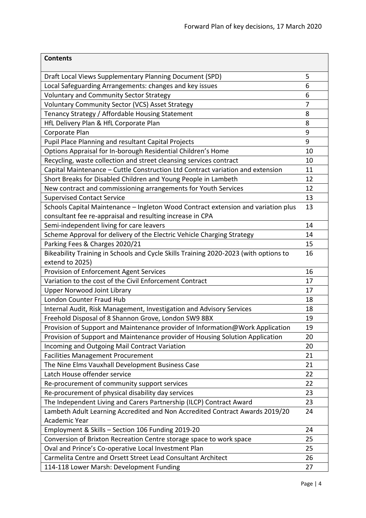| <b>Contents</b>                                                                      |                |
|--------------------------------------------------------------------------------------|----------------|
| Draft Local Views Supplementary Planning Document (SPD)                              | 5              |
| Local Safeguarding Arrangements: changes and key issues                              | 6              |
| <b>Voluntary and Community Sector Strategy</b>                                       | 6              |
| Voluntary Community Sector (VCS) Asset Strategy                                      | $\overline{7}$ |
| Tenancy Strategy / Affordable Housing Statement                                      | 8              |
| HfL Delivery Plan & HfL Corporate Plan                                               | 8              |
| Corporate Plan                                                                       | 9              |
| Pupil Place Planning and resultant Capital Projects                                  | 9              |
| Options Appraisal for In-borough Residential Children's Home                         | 10             |
| Recycling, waste collection and street cleansing services contract                   | 10             |
| Capital Maintenance - Cuttle Construction Ltd Contract variation and extension       | 11             |
| Short Breaks for Disabled Children and Young People in Lambeth                       | 12             |
| New contract and commissioning arrangements for Youth Services                       | 12             |
| <b>Supervised Contact Service</b>                                                    | 13             |
| Schools Capital Maintenance - Ingleton Wood Contract extension and variation plus    | 13             |
| consultant fee re-appraisal and resulting increase in CPA                            |                |
| Semi-independent living for care leavers                                             | 14             |
| Scheme Approval for delivery of the Electric Vehicle Charging Strategy               | 14             |
| Parking Fees & Charges 2020/21                                                       | 15             |
| Bikeability Training in Schools and Cycle Skills Training 2020-2023 (with options to | 16             |
| extend to 2025)                                                                      |                |
| Provision of Enforcement Agent Services                                              | 16             |
| Variation to the cost of the Civil Enforcement Contract                              | 17             |
| <b>Upper Norwood Joint Library</b>                                                   | 17             |
| London Counter Fraud Hub                                                             | 18             |
| Internal Audit, Risk Management, Investigation and Advisory Services                 | 18             |
| Freehold Disposal of 8 Shannon Grove, London SW9 8BX                                 | 19             |
| Provision of Support and Maintenance provider of Information@Work Application        | 19             |
| Provision of Support and Maintenance provider of Housing Solution Application        | 20             |
| Incoming and Outgoing Mail Contract Variation                                        | 20             |
| <b>Facilities Management Procurement</b>                                             | 21             |
| The Nine Elms Vauxhall Development Business Case                                     | 21             |
| Latch House offender service                                                         | 22             |
| Re-procurement of community support services                                         | 22             |
| Re-procurement of physical disability day services                                   | 23             |
| The Independent Living and Carers Partnership (ILCP) Contract Award                  | 23             |
| Lambeth Adult Learning Accredited and Non Accredited Contract Awards 2019/20         | 24             |
| Academic Year                                                                        |                |
| Employment & Skills - Section 106 Funding 2019-20                                    | 24             |
| Conversion of Brixton Recreation Centre storage space to work space                  | 25             |
| Oval and Prince's Co-operative Local Investment Plan                                 | 25             |
| Carmelita Centre and Orsett Street Lead Consultant Architect                         | 26             |
| 114-118 Lower Marsh: Development Funding                                             | 27             |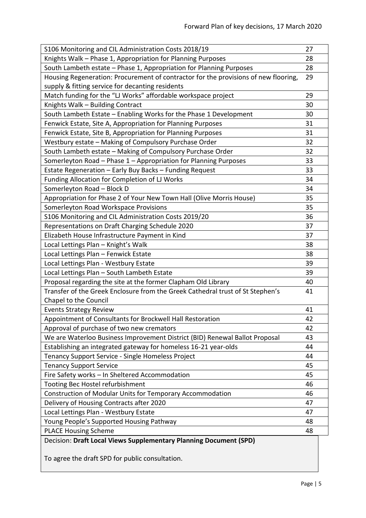| S106 Monitoring and CIL Administration Costs 2018/19                                | 27 |
|-------------------------------------------------------------------------------------|----|
| Knights Walk - Phase 1, Appropriation for Planning Purposes                         | 28 |
| South Lambeth estate - Phase 1, Appropriation for Planning Purposes                 | 28 |
| Housing Regeneration: Procurement of contractor for the provisions of new flooring, | 29 |
| supply & fitting service for decanting residents                                    |    |
| Match funding for the "LJ Works" affordable workspace project                       | 29 |
| Knights Walk - Building Contract                                                    | 30 |
| South Lambeth Estate - Enabling Works for the Phase 1 Development                   | 30 |
| Fenwick Estate, Site A, Appropriation for Planning Purposes                         | 31 |
| Fenwick Estate, Site B, Appropriation for Planning Purposes                         | 31 |
| Westbury estate - Making of Compulsory Purchase Order                               | 32 |
| South Lambeth estate - Making of Compulsory Purchase Order                          | 32 |
| Somerleyton Road - Phase 1 - Appropriation for Planning Purposes                    | 33 |
| Estate Regeneration - Early Buy Backs - Funding Request                             | 33 |
| Funding Allocation for Completion of LJ Works                                       | 34 |
| Somerleyton Road - Block D                                                          | 34 |
| Appropriation for Phase 2 of Your New Town Hall (Olive Morris House)                | 35 |
| Somerleyton Road Workspace Provisions                                               | 35 |
| S106 Monitoring and CIL Administration Costs 2019/20                                | 36 |
| Representations on Draft Charging Schedule 2020                                     | 37 |
| Elizabeth House Infrastructure Payment in Kind                                      | 37 |
| Local Lettings Plan - Knight's Walk                                                 | 38 |
| Local Lettings Plan - Fenwick Estate                                                | 38 |
| Local Lettings Plan - Westbury Estate                                               | 39 |
| Local Lettings Plan - South Lambeth Estate                                          | 39 |
| Proposal regarding the site at the former Clapham Old Library                       | 40 |
| Transfer of the Greek Enclosure from the Greek Cathedral trust of St Stephen's      | 41 |
| Chapel to the Council                                                               |    |
| <b>Events Strategy Review</b>                                                       | 41 |
| Appointment of Consultants for Brockwell Hall Restoration                           | 42 |
| Approval of purchase of two new cremators                                           | 42 |
| We are Waterloo Business Improvement District (BID) Renewal Ballot Proposal         | 43 |
| Establishing an integrated gateway for homeless 16-21 year-olds                     | 44 |
| Tenancy Support Service - Single Homeless Project                                   | 44 |
| <b>Tenancy Support Service</b>                                                      | 45 |
| Fire Safety works - In Sheltered Accommodation                                      | 45 |
| Tooting Bec Hostel refurbishment                                                    | 46 |
| Construction of Modular Units for Temporary Accommodation                           | 46 |
| Delivery of Housing Contracts after 2020                                            | 47 |
| Local Lettings Plan - Westbury Estate                                               | 47 |
| Young People's Supported Housing Pathway                                            | 48 |
| <b>PLACE Housing Scheme</b>                                                         | 48 |
| Decision: Draft Local Views Supplementary Planning Document (SPD)                   |    |

<span id="page-4-0"></span>To agree the draft SPD for public consultation.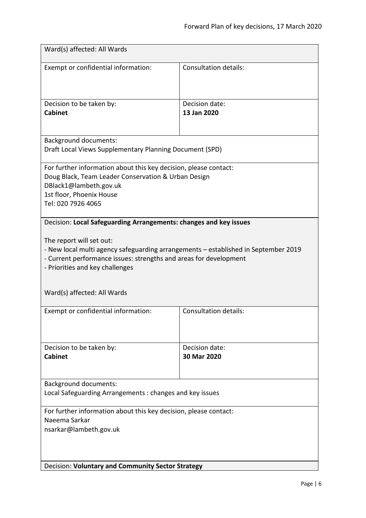<span id="page-5-1"></span><span id="page-5-0"></span>

| Ward(s) affected: All Wards                                                                                                                                                                                                                                                                                                |                               |  |
|----------------------------------------------------------------------------------------------------------------------------------------------------------------------------------------------------------------------------------------------------------------------------------------------------------------------------|-------------------------------|--|
| Exempt or confidential information:                                                                                                                                                                                                                                                                                        | <b>Consultation details:</b>  |  |
| Decision to be taken by:<br><b>Cabinet</b>                                                                                                                                                                                                                                                                                 | Decision date:<br>13 Jan 2020 |  |
| <b>Background documents:</b><br>Draft Local Views Supplementary Planning Document (SPD)                                                                                                                                                                                                                                    |                               |  |
| For further information about this key decision, please contact:<br>Doug Black, Team Leader Conservation & Urban Design<br>DBlack1@lambeth.gov.uk<br>1st floor, Phoenix House<br>Tel: 020 7926 4065                                                                                                                        |                               |  |
| Decision: Local Safeguarding Arrangements: changes and key issues<br>The report will set out:<br>- New local multi agency safeguarding arrangements - established in September 2019<br>- Current performance issues: strengths and areas for development<br>- Priorities and key challenges<br>Ward(s) affected: All Wards |                               |  |
| Exempt or confidential information:                                                                                                                                                                                                                                                                                        | <b>Consultation details:</b>  |  |
| Decision to be taken by:<br><b>Cabinet</b>                                                                                                                                                                                                                                                                                 | Decision date:<br>30 Mar 2020 |  |
| Background documents:<br>Local Safeguarding Arrangements: changes and key issues                                                                                                                                                                                                                                           |                               |  |
| For further information about this key decision, please contact:<br>Naeema Sarkar<br>nsarkar@lambeth.gov.uk                                                                                                                                                                                                                |                               |  |
| Decision: Voluntary and Community Sector Strategy                                                                                                                                                                                                                                                                          |                               |  |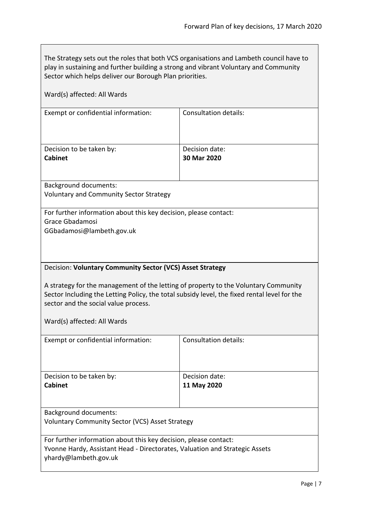The Strategy sets out the roles that both VCS organisations and Lambeth council have to play in sustaining and further building a strong and vibrant Voluntary and Community Sector which helps deliver our Borough Plan priorities.

<span id="page-6-0"></span>

| Ward(s) affected: All Wards                                                                                                                                                                                                                                                                                             |                               |  |
|-------------------------------------------------------------------------------------------------------------------------------------------------------------------------------------------------------------------------------------------------------------------------------------------------------------------------|-------------------------------|--|
| Exempt or confidential information:                                                                                                                                                                                                                                                                                     | <b>Consultation details:</b>  |  |
| Decision to be taken by:<br><b>Cabinet</b>                                                                                                                                                                                                                                                                              | Decision date:<br>30 Mar 2020 |  |
| <b>Background documents:</b><br><b>Voluntary and Community Sector Strategy</b>                                                                                                                                                                                                                                          |                               |  |
| For further information about this key decision, please contact:<br><b>Grace Gbadamosi</b><br>GGbadamosi@lambeth.gov.uk                                                                                                                                                                                                 |                               |  |
| Decision: Voluntary Community Sector (VCS) Asset Strategy<br>A strategy for the management of the letting of property to the Voluntary Community<br>Sector Including the Letting Policy, the total subsidy level, the fixed rental level for the<br>sector and the social value process.<br>Ward(s) affected: All Wards |                               |  |
| Exempt or confidential information:                                                                                                                                                                                                                                                                                     | <b>Consultation details:</b>  |  |
| Decision to be taken by:<br><b>Cabinet</b>                                                                                                                                                                                                                                                                              | Decision date:<br>11 May 2020 |  |
| <b>Background documents:</b><br><b>Voluntary Community Sector (VCS) Asset Strategy</b>                                                                                                                                                                                                                                  |                               |  |
| For further information about this key decision, please contact:<br>Yvonne Hardy, Assistant Head - Directorates, Valuation and Strategic Assets<br>yhardy@lambeth.gov.uk                                                                                                                                                |                               |  |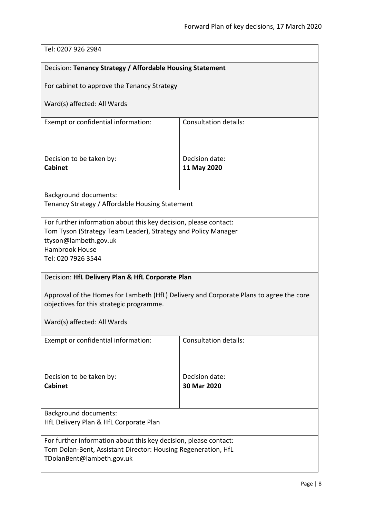<span id="page-7-1"></span><span id="page-7-0"></span>

| Tel: 0207 926 2984                                                                                                                                                                                        |                               |  |
|-----------------------------------------------------------------------------------------------------------------------------------------------------------------------------------------------------------|-------------------------------|--|
| Decision: Tenancy Strategy / Affordable Housing Statement                                                                                                                                                 |                               |  |
| For cabinet to approve the Tenancy Strategy                                                                                                                                                               |                               |  |
| Ward(s) affected: All Wards                                                                                                                                                                               |                               |  |
| Exempt or confidential information:                                                                                                                                                                       | <b>Consultation details:</b>  |  |
| Decision to be taken by:<br><b>Cabinet</b>                                                                                                                                                                | Decision date:<br>11 May 2020 |  |
| <b>Background documents:</b><br>Tenancy Strategy / Affordable Housing Statement                                                                                                                           |                               |  |
| For further information about this key decision, please contact:<br>Tom Tyson (Strategy Team Leader), Strategy and Policy Manager<br>ttyson@lambeth.gov.uk<br><b>Hambrook House</b><br>Tel: 020 7926 3544 |                               |  |
| Decision: HfL Delivery Plan & HfL Corporate Plan                                                                                                                                                          |                               |  |
| Approval of the Homes for Lambeth (HfL) Delivery and Corporate Plans to agree the core<br>objectives for this strategic programme.                                                                        |                               |  |
| Ward(s) affected: All Wards                                                                                                                                                                               |                               |  |
| Exempt or confidential information:                                                                                                                                                                       | <b>Consultation details:</b>  |  |
| Decision to be taken by:<br><b>Cabinet</b>                                                                                                                                                                | Decision date:<br>30 Mar 2020 |  |
| <b>Background documents:</b><br>HfL Delivery Plan & HfL Corporate Plan                                                                                                                                    |                               |  |
| For further information about this key decision, please contact:<br>Tom Dolan-Bent, Assistant Director: Housing Regeneration, HfL<br>TDolanBent@lambeth.gov.uk                                            |                               |  |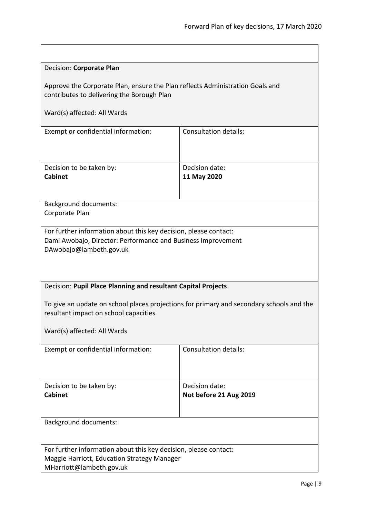<span id="page-8-1"></span><span id="page-8-0"></span>

| Decision: Corporate Plan                                                                                                                                         |                                          |  |
|------------------------------------------------------------------------------------------------------------------------------------------------------------------|------------------------------------------|--|
| Approve the Corporate Plan, ensure the Plan reflects Administration Goals and<br>contributes to delivering the Borough Plan                                      |                                          |  |
| Ward(s) affected: All Wards                                                                                                                                      |                                          |  |
| Exempt or confidential information:                                                                                                                              | <b>Consultation details:</b>             |  |
| Decision to be taken by:<br><b>Cabinet</b>                                                                                                                       | Decision date:<br>11 May 2020            |  |
| <b>Background documents:</b><br>Corporate Plan                                                                                                                   |                                          |  |
| For further information about this key decision, please contact:<br>Dami Awobajo, Director: Performance and Business Improvement<br>DAwobajo@lambeth.gov.uk      |                                          |  |
| Decision: Pupil Place Planning and resultant Capital Projects                                                                                                    |                                          |  |
| To give an update on school places projections for primary and secondary schools and the<br>resultant impact on school capacities<br>Ward(s) affected: All Wards |                                          |  |
| Exempt or confidential information:                                                                                                                              | Consultation details:                    |  |
|                                                                                                                                                                  |                                          |  |
| Decision to be taken by:<br><b>Cabinet</b>                                                                                                                       | Decision date:<br>Not before 21 Aug 2019 |  |
| <b>Background documents:</b>                                                                                                                                     |                                          |  |
| For further information about this key decision, please contact:<br>Maggie Harriott, Education Strategy Manager<br>MHarriott@lambeth.gov.uk                      |                                          |  |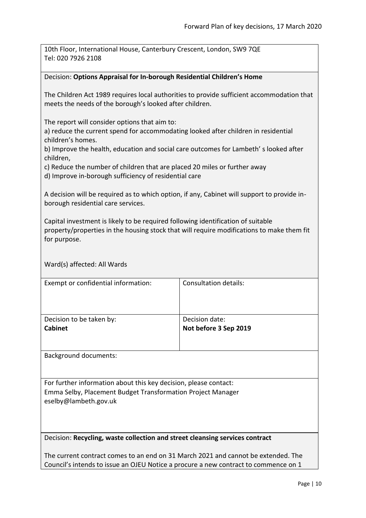<span id="page-9-1"></span><span id="page-9-0"></span>

| 10th Floor, International House, Canterbury Crescent, London, SW9 7QE<br>Tel: 020 7926 2108                                                                                                                                                                   |                                         |  |
|---------------------------------------------------------------------------------------------------------------------------------------------------------------------------------------------------------------------------------------------------------------|-----------------------------------------|--|
| Decision: Options Appraisal for In-borough Residential Children's Home                                                                                                                                                                                        |                                         |  |
| The Children Act 1989 requires local authorities to provide sufficient accommodation that<br>meets the needs of the borough's looked after children.                                                                                                          |                                         |  |
| The report will consider options that aim to:<br>a) reduce the current spend for accommodating looked after children in residential<br>children's homes.<br>b) Improve the health, education and social care outcomes for Lambeth's looked after<br>children, |                                         |  |
| c) Reduce the number of children that are placed 20 miles or further away<br>d) Improve in-borough sufficiency of residential care                                                                                                                            |                                         |  |
| A decision will be required as to which option, if any, Cabinet will support to provide in-<br>borough residential care services.                                                                                                                             |                                         |  |
| Capital investment is likely to be required following identification of suitable<br>property/properties in the housing stock that will require modifications to make them fit<br>for purpose.                                                                 |                                         |  |
| Ward(s) affected: All Wards                                                                                                                                                                                                                                   |                                         |  |
| Exempt or confidential information:                                                                                                                                                                                                                           | <b>Consultation details:</b>            |  |
| Decision to be taken by:<br><b>Cabinet</b>                                                                                                                                                                                                                    | Decision date:<br>Not before 3 Sep 2019 |  |
| <b>Background documents:</b>                                                                                                                                                                                                                                  |                                         |  |
| For further information about this key decision, please contact:<br>Emma Selby, Placement Budget Transformation Project Manager<br>eselby@lambeth.gov.uk                                                                                                      |                                         |  |
| Decision: Recycling, waste collection and street cleansing services contract                                                                                                                                                                                  |                                         |  |
| The current contract comes to an end on 31 March 2021 and cannot be extended. The<br>Council's intends to issue an OJEU Notice a procure a new contract to commence on 1                                                                                      |                                         |  |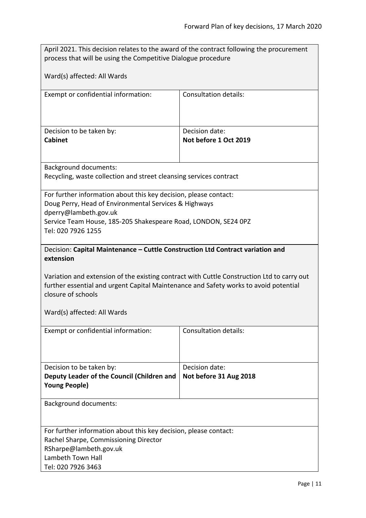<span id="page-10-0"></span>

| April 2021. This decision relates to the award of the contract following the procurement<br>process that will be using the Competitive Dialogue procedure                                                                                                                                                                              |                                          |  |
|----------------------------------------------------------------------------------------------------------------------------------------------------------------------------------------------------------------------------------------------------------------------------------------------------------------------------------------|------------------------------------------|--|
| Ward(s) affected: All Wards                                                                                                                                                                                                                                                                                                            |                                          |  |
| Exempt or confidential information:                                                                                                                                                                                                                                                                                                    | <b>Consultation details:</b>             |  |
| Decision to be taken by:<br><b>Cabinet</b>                                                                                                                                                                                                                                                                                             | Decision date:<br>Not before 1 Oct 2019  |  |
| <b>Background documents:</b><br>Recycling, waste collection and street cleansing services contract                                                                                                                                                                                                                                     |                                          |  |
| For further information about this key decision, please contact:<br>Doug Perry, Head of Environmental Services & Highways<br>dperry@lambeth.gov.uk<br>Service Team House, 185-205 Shakespeare Road, LONDON, SE24 OPZ<br>Tel: 020 7926 1255                                                                                             |                                          |  |
| Decision: Capital Maintenance - Cuttle Construction Ltd Contract variation and<br>extension<br>Variation and extension of the existing contract with Cuttle Construction Ltd to carry out<br>further essential and urgent Capital Maintenance and Safety works to avoid potential<br>closure of schools<br>Ward(s) affected: All Wards |                                          |  |
| Exempt or confidential information:                                                                                                                                                                                                                                                                                                    | <b>Consultation details:</b>             |  |
| Decision to be taken by:<br>Deputy Leader of the Council (Children and<br><b>Young People)</b>                                                                                                                                                                                                                                         | Decision date:<br>Not before 31 Aug 2018 |  |
| <b>Background documents:</b>                                                                                                                                                                                                                                                                                                           |                                          |  |
| For further information about this key decision, please contact:<br>Rachel Sharpe, Commissioning Director<br>RSharpe@lambeth.gov.uk<br>Lambeth Town Hall<br>Tel: 020 7926 3463                                                                                                                                                         |                                          |  |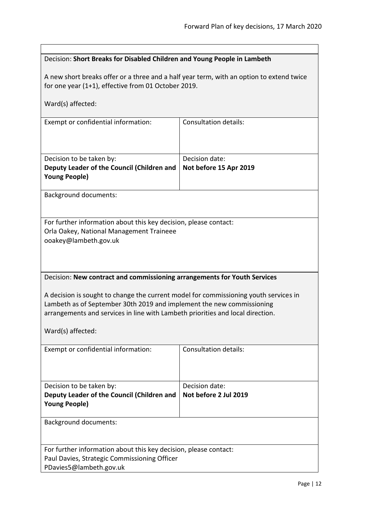<span id="page-11-1"></span><span id="page-11-0"></span>

| Decision: Short Breaks for Disabled Children and Young People in Lambeth                                                                                                                                                                                                                                                                         |                                          |  |
|--------------------------------------------------------------------------------------------------------------------------------------------------------------------------------------------------------------------------------------------------------------------------------------------------------------------------------------------------|------------------------------------------|--|
| A new short breaks offer or a three and a half year term, with an option to extend twice<br>for one year (1+1), effective from 01 October 2019.                                                                                                                                                                                                  |                                          |  |
| Ward(s) affected:                                                                                                                                                                                                                                                                                                                                |                                          |  |
| Exempt or confidential information:                                                                                                                                                                                                                                                                                                              | <b>Consultation details:</b>             |  |
| Decision to be taken by:<br>Deputy Leader of the Council (Children and<br><b>Young People)</b>                                                                                                                                                                                                                                                   | Decision date:<br>Not before 15 Apr 2019 |  |
| <b>Background documents:</b>                                                                                                                                                                                                                                                                                                                     |                                          |  |
| For further information about this key decision, please contact:<br>Orla Oakey, National Management Traineee<br>ooakey@lambeth.gov.uk                                                                                                                                                                                                            |                                          |  |
| Decision: New contract and commissioning arrangements for Youth Services<br>A decision is sought to change the current model for commissioning youth services in<br>Lambeth as of September 30th 2019 and implement the new commissioning<br>arrangements and services in line with Lambeth priorities and local direction.<br>Ward(s) affected: |                                          |  |
| Exempt or confidential information:                                                                                                                                                                                                                                                                                                              | <b>Consultation details:</b>             |  |
| Decision to be taken by:<br>Deputy Leader of the Council (Children and<br><b>Young People)</b>                                                                                                                                                                                                                                                   | Decision date:<br>Not before 2 Jul 2019  |  |
| <b>Background documents:</b>                                                                                                                                                                                                                                                                                                                     |                                          |  |
| For further information about this key decision, please contact:<br>Paul Davies, Strategic Commissioning Officer<br>PDavies5@lambeth.gov.uk                                                                                                                                                                                                      |                                          |  |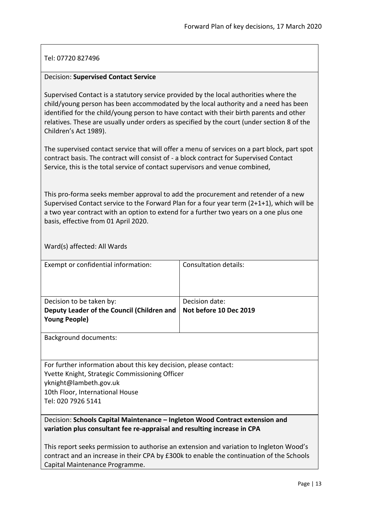# Tel: 07720 827496

### <span id="page-12-0"></span>Decision: **Supervised Contact Service**

Supervised Contact is a statutory service provided by the local authorities where the child/young person has been accommodated by the local authority and a need has been identified for the child/young person to have contact with their birth parents and other relatives. These are usually under orders as specified by the court (under section 8 of the Children's Act 1989).

The supervised contact service that will offer a menu of services on a part block, part spot contract basis. The contract will consist of - a block contract for Supervised Contact Service, this is the total service of contact supervisors and venue combined,

This pro-forma seeks member approval to add the procurement and retender of a new Supervised Contact service to the Forward Plan for a four year term (2+1+1), which will be a two year contract with an option to extend for a further two years on a one plus one basis, effective from 01 April 2020.

Ward(s) affected: All Wards

| Exempt or confidential information:        | Consultation details:  |
|--------------------------------------------|------------------------|
|                                            |                        |
|                                            |                        |
|                                            |                        |
| Decision to be taken by:                   | Decision date:         |
| Deputy Leader of the Council (Children and | Not before 10 Dec 2019 |
| <b>Young People)</b>                       |                        |
|                                            |                        |
| <b>Background documents:</b>               |                        |
|                                            |                        |

For further information about this key decision, please contact: Yvette Knight, Strategic Commissioning Officer yknight@lambeth.gov.uk 10th Floor, International House Tel: 020 7926 5141

# <span id="page-12-1"></span>Decision: **Schools Capital Maintenance – Ingleton Wood Contract extension and variation plus consultant fee re-appraisal and resulting increase in CPA**

This report seeks permission to authorise an extension and variation to Ingleton Wood's contract and an increase in their CPA by £300k to enable the continuation of the Schools Capital Maintenance Programme.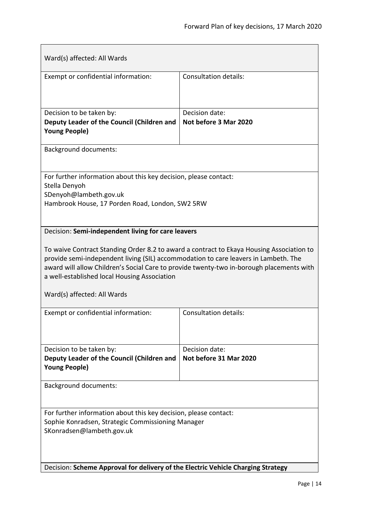<span id="page-13-1"></span><span id="page-13-0"></span>

| Ward(s) affected: All Wards                                                                                                                                                                                                                                                                                                                                |                                          |  |
|------------------------------------------------------------------------------------------------------------------------------------------------------------------------------------------------------------------------------------------------------------------------------------------------------------------------------------------------------------|------------------------------------------|--|
| Exempt or confidential information:                                                                                                                                                                                                                                                                                                                        | <b>Consultation details:</b>             |  |
| Decision to be taken by:<br>Deputy Leader of the Council (Children and<br><b>Young People)</b>                                                                                                                                                                                                                                                             | Decision date:<br>Not before 3 Mar 2020  |  |
| <b>Background documents:</b>                                                                                                                                                                                                                                                                                                                               |                                          |  |
| For further information about this key decision, please contact:<br>Stella Denyoh<br>SDenyoh@lambeth.gov.uk<br>Hambrook House, 17 Porden Road, London, SW2 5RW                                                                                                                                                                                             |                                          |  |
| To waive Contract Standing Order 8.2 to award a contract to Ekaya Housing Association to<br>provide semi-independent living (SIL) accommodation to care leavers in Lambeth. The<br>award will allow Children's Social Care to provide twenty-two in-borough placements with<br>a well-established local Housing Association<br>Ward(s) affected: All Wards |                                          |  |
| Exempt or confidential information:                                                                                                                                                                                                                                                                                                                        | <b>Consultation details:</b>             |  |
| Decision to be taken by:<br>Deputy Leader of the Council (Children and<br><b>Young People)</b>                                                                                                                                                                                                                                                             | Decision date:<br>Not before 31 Mar 2020 |  |
| <b>Background documents:</b>                                                                                                                                                                                                                                                                                                                               |                                          |  |
| For further information about this key decision, please contact:<br>Sophie Konradsen, Strategic Commissioning Manager<br>SKonradsen@lambeth.gov.uk                                                                                                                                                                                                         |                                          |  |
| Decision: Scheme Approval for delivery of the Electric Vehicle Charging Strategy                                                                                                                                                                                                                                                                           |                                          |  |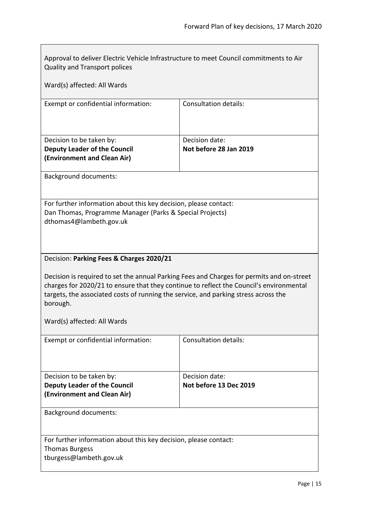<span id="page-14-0"></span>

| Approval to deliver Electric Vehicle Infrastructure to meet Council commitments to Air<br><b>Quality and Transport polices</b>                                                                                                                                                          |                                          |  |
|-----------------------------------------------------------------------------------------------------------------------------------------------------------------------------------------------------------------------------------------------------------------------------------------|------------------------------------------|--|
| Ward(s) affected: All Wards                                                                                                                                                                                                                                                             |                                          |  |
| Exempt or confidential information:                                                                                                                                                                                                                                                     | <b>Consultation details:</b>             |  |
| Decision to be taken by:<br><b>Deputy Leader of the Council</b><br>(Environment and Clean Air)                                                                                                                                                                                          | Decision date:<br>Not before 28 Jan 2019 |  |
| <b>Background documents:</b>                                                                                                                                                                                                                                                            |                                          |  |
| For further information about this key decision, please contact:<br>Dan Thomas, Programme Manager (Parks & Special Projects)<br>dthomas4@lambeth.gov.uk                                                                                                                                 |                                          |  |
| Decision: Parking Fees & Charges 2020/21                                                                                                                                                                                                                                                |                                          |  |
| Decision is required to set the annual Parking Fees and Charges for permits and on-street<br>charges for 2020/21 to ensure that they continue to reflect the Council's environmental<br>targets, the associated costs of running the service, and parking stress across the<br>borough. |                                          |  |
| Ward(s) affected: All Wards                                                                                                                                                                                                                                                             |                                          |  |
| Exempt or confidential information:                                                                                                                                                                                                                                                     | <b>Consultation details:</b>             |  |
| Decision to be taken by:<br><b>Deputy Leader of the Council</b><br>(Environment and Clean Air)                                                                                                                                                                                          | Decision date:<br>Not before 13 Dec 2019 |  |
| <b>Background documents:</b>                                                                                                                                                                                                                                                            |                                          |  |
| For further information about this key decision, please contact:<br><b>Thomas Burgess</b><br>tburgess@lambeth.gov.uk                                                                                                                                                                    |                                          |  |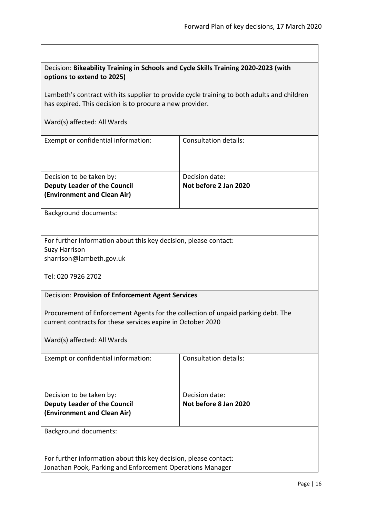<span id="page-15-1"></span><span id="page-15-0"></span>

| Decision: Bikeability Training in Schools and Cycle Skills Training 2020-2023 (with<br>options to extend to 2025)                                      |                                         |  |
|--------------------------------------------------------------------------------------------------------------------------------------------------------|-----------------------------------------|--|
| Lambeth's contract with its supplier to provide cycle training to both adults and children<br>has expired. This decision is to procure a new provider. |                                         |  |
| Ward(s) affected: All Wards                                                                                                                            |                                         |  |
| Exempt or confidential information:                                                                                                                    | <b>Consultation details:</b>            |  |
| Decision to be taken by:<br><b>Deputy Leader of the Council</b><br>(Environment and Clean Air)                                                         | Decision date:<br>Not before 2 Jan 2020 |  |
| <b>Background documents:</b>                                                                                                                           |                                         |  |
| For further information about this key decision, please contact:<br><b>Suzy Harrison</b><br>sharrison@lambeth.gov.uk<br>Tel: 020 7926 2702             |                                         |  |
| Decision: Provision of Enforcement Agent Services                                                                                                      |                                         |  |
| Procurement of Enforcement Agents for the collection of unpaid parking debt. The<br>current contracts for these services expire in October 2020        |                                         |  |
| Ward(s) affected: All Wards                                                                                                                            |                                         |  |
| Exempt or confidential information:                                                                                                                    | <b>Consultation details:</b>            |  |
| Decision to be taken by:<br><b>Deputy Leader of the Council</b><br>(Environment and Clean Air)                                                         | Decision date:<br>Not before 8 Jan 2020 |  |
| <b>Background documents:</b>                                                                                                                           |                                         |  |
| For further information about this key decision, please contact:<br>Jonathan Pook, Parking and Enforcement Operations Manager                          |                                         |  |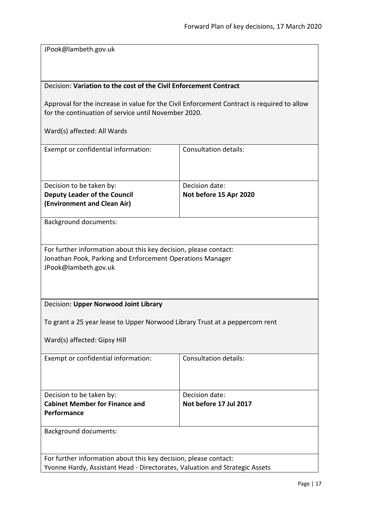JPook@lambeth.gov.uk

# <span id="page-16-0"></span>Decision: **Variation to the cost of the Civil Enforcement Contract**

Approval for the increase in value for the Civil Enforcement Contract is required to allow for the continuation of service until November 2020.

<span id="page-16-1"></span>

| Exempt or confidential information:                                                                                                                   | <b>Consultation details:</b>             |  |
|-------------------------------------------------------------------------------------------------------------------------------------------------------|------------------------------------------|--|
| Decision to be taken by:<br><b>Deputy Leader of the Council</b><br>(Environment and Clean Air)                                                        | Decision date:<br>Not before 15 Apr 2020 |  |
| <b>Background documents:</b>                                                                                                                          |                                          |  |
| For further information about this key decision, please contact:<br>Jonathan Pook, Parking and Enforcement Operations Manager<br>JPook@lambeth.gov.uk |                                          |  |
| Decision: Upper Norwood Joint Library                                                                                                                 |                                          |  |
| To grant a 25 year lease to Upper Norwood Library Trust at a peppercorn rent<br>Ward(s) affected: Gipsy Hill                                          |                                          |  |
| Exempt or confidential information:                                                                                                                   | <b>Consultation details:</b>             |  |
| Decision to be taken by:<br><b>Cabinet Member for Finance and</b><br>Performance                                                                      | Decision date:<br>Not before 17 Jul 2017 |  |
| <b>Background documents:</b>                                                                                                                          |                                          |  |
| For further information about this key decision, please contact:<br>Yvonne Hardy, Assistant Head - Directorates, Valuation and Strategic Assets       |                                          |  |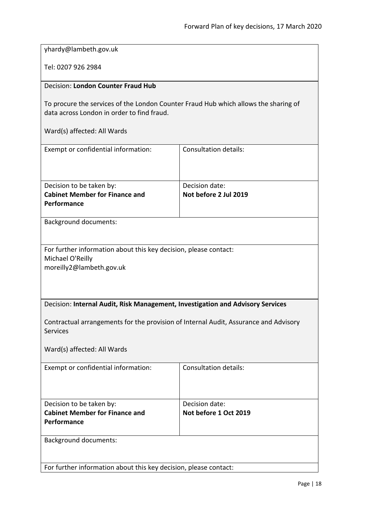<span id="page-17-0"></span>

| yhardy@lambeth.gov.uk                                                                                                             |                                         |
|-----------------------------------------------------------------------------------------------------------------------------------|-----------------------------------------|
| Tel: 0207 926 2984                                                                                                                |                                         |
| <b>Decision: London Counter Fraud Hub</b>                                                                                         |                                         |
| To procure the services of the London Counter Fraud Hub which allows the sharing of<br>data across London in order to find fraud. |                                         |
| Ward(s) affected: All Wards                                                                                                       |                                         |
| Exempt or confidential information:                                                                                               | <b>Consultation details:</b>            |
|                                                                                                                                   |                                         |
| Decision to be taken by:<br><b>Cabinet Member for Finance and</b>                                                                 | Decision date:<br>Not before 2 Jul 2019 |
| Performance                                                                                                                       |                                         |
|                                                                                                                                   |                                         |
| <b>Background documents:</b>                                                                                                      |                                         |
| For further information about this key decision, please contact:<br>Michael O'Reilly<br>moreilly2@lambeth.gov.uk                  |                                         |
| Decision: Internal Audit, Risk Management, Investigation and Advisory Services                                                    |                                         |
| Contractual arrangements for the provision of Internal Audit, Assurance and Advisory<br><b>Services</b>                           |                                         |
| Ward(s) affected: All Wards                                                                                                       |                                         |
| Exempt or confidential information:                                                                                               | <b>Consultation details:</b>            |
| Decision to be taken by:                                                                                                          | Decision date:                          |
| <b>Cabinet Member for Finance and</b><br>Performance                                                                              | Not before 1 Oct 2019                   |
| <b>Background documents:</b>                                                                                                      |                                         |

<span id="page-17-1"></span>For further information about this key decision, please contact: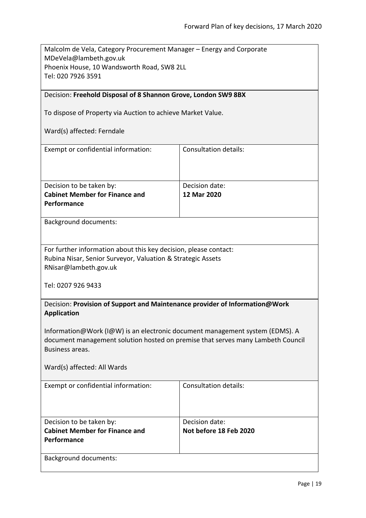| Malcolm de Vela, Category Procurement Manager – Energy and Corporate |  |
|----------------------------------------------------------------------|--|
| MDeVela@lambeth.gov.uk                                               |  |
| Phoenix House, 10 Wandsworth Road, SW8 2LL                           |  |
| Tel: 020 7926 3591                                                   |  |
|                                                                      |  |
| Decision: Freehold Disposal of 8 Shannon Grove, London SW9 8BX       |  |
|                                                                      |  |
| To dispose of Property via Auction to achieve Market Value.          |  |

# <span id="page-18-0"></span>Ward(s) affected: Ferndale

| Exempt or confidential information:   | Consultation details: |
|---------------------------------------|-----------------------|
|                                       |                       |
|                                       |                       |
|                                       |                       |
| Decision to be taken by:              | Decision date:        |
| <b>Cabinet Member for Finance and</b> | 12 Mar 2020           |
| <b>Performance</b>                    |                       |
|                                       |                       |

Background documents:

| For further information about this key decision, please contact: |
|------------------------------------------------------------------|
| Rubina Nisar, Senior Surveyor, Valuation & Strategic Assets      |
| RNisar@lambeth.gov.uk                                            |

Tel: 0207 926 9433

<span id="page-18-1"></span>

| Decision: Provision of Support and Maintenance provider of Information@Work |  |
|-----------------------------------------------------------------------------|--|
| Application                                                                 |  |

Information@Work (I@W) is an electronic document management system (EDMS). A document management solution hosted on premise that serves many Lambeth Council Business areas.

| Exempt or confidential information:   | Consultation details:  |
|---------------------------------------|------------------------|
|                                       |                        |
|                                       |                        |
| Decision to be taken by:              | Decision date:         |
| <b>Cabinet Member for Finance and</b> | Not before 18 Feb 2020 |
| Performance                           |                        |
|                                       |                        |
| <b>Background documents:</b>          |                        |
|                                       |                        |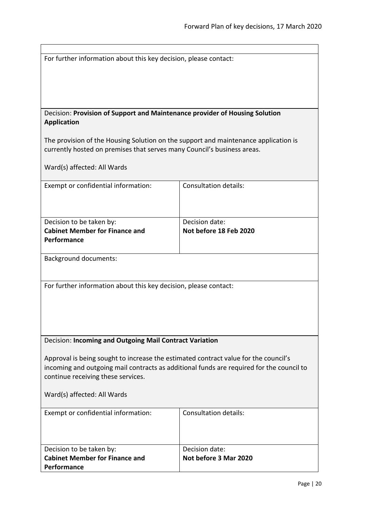<span id="page-19-1"></span><span id="page-19-0"></span>

| For further information about this key decision, please contact:                                                                                                                |                              |  |
|---------------------------------------------------------------------------------------------------------------------------------------------------------------------------------|------------------------------|--|
|                                                                                                                                                                                 |                              |  |
|                                                                                                                                                                                 |                              |  |
|                                                                                                                                                                                 |                              |  |
|                                                                                                                                                                                 |                              |  |
|                                                                                                                                                                                 |                              |  |
| Decision: Provision of Support and Maintenance provider of Housing Solution                                                                                                     |                              |  |
| <b>Application</b>                                                                                                                                                              |                              |  |
|                                                                                                                                                                                 |                              |  |
| The provision of the Housing Solution on the support and maintenance application is                                                                                             |                              |  |
| currently hosted on premises that serves many Council's business areas.                                                                                                         |                              |  |
|                                                                                                                                                                                 |                              |  |
| Ward(s) affected: All Wards                                                                                                                                                     |                              |  |
|                                                                                                                                                                                 |                              |  |
| Exempt or confidential information:                                                                                                                                             | Consultation details:        |  |
|                                                                                                                                                                                 |                              |  |
|                                                                                                                                                                                 |                              |  |
|                                                                                                                                                                                 |                              |  |
| Decision to be taken by:                                                                                                                                                        | Decision date:               |  |
| <b>Cabinet Member for Finance and</b>                                                                                                                                           | Not before 18 Feb 2020       |  |
| Performance                                                                                                                                                                     |                              |  |
|                                                                                                                                                                                 |                              |  |
| <b>Background documents:</b>                                                                                                                                                    |                              |  |
|                                                                                                                                                                                 |                              |  |
|                                                                                                                                                                                 |                              |  |
| For further information about this key decision, please contact:                                                                                                                |                              |  |
|                                                                                                                                                                                 |                              |  |
|                                                                                                                                                                                 |                              |  |
|                                                                                                                                                                                 |                              |  |
|                                                                                                                                                                                 |                              |  |
|                                                                                                                                                                                 |                              |  |
|                                                                                                                                                                                 |                              |  |
| Decision: Incoming and Outgoing Mail Contract Variation                                                                                                                         |                              |  |
|                                                                                                                                                                                 |                              |  |
| Approval is being sought to increase the estimated contract value for the council's<br>incoming and outgoing mail contracts as additional funds are required for the council to |                              |  |
|                                                                                                                                                                                 |                              |  |
| continue receiving these services.                                                                                                                                              |                              |  |
|                                                                                                                                                                                 |                              |  |
| Ward(s) affected: All Wards                                                                                                                                                     |                              |  |
|                                                                                                                                                                                 |                              |  |
| Exempt or confidential information:                                                                                                                                             | <b>Consultation details:</b> |  |
|                                                                                                                                                                                 |                              |  |
|                                                                                                                                                                                 |                              |  |
|                                                                                                                                                                                 |                              |  |
| Decision to be taken by:                                                                                                                                                        | Decision date:               |  |
| <b>Cabinet Member for Finance and</b>                                                                                                                                           | Not before 3 Mar 2020        |  |
| Performance                                                                                                                                                                     |                              |  |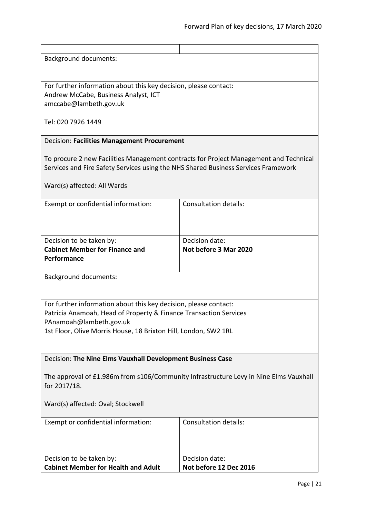Background documents:

For further information about this key decision, please contact: Andrew McCabe, Business Analyst, ICT amccabe@lambeth.gov.uk

Tel: 020 7926 1449

### <span id="page-20-0"></span>Decision: **Facilities Management Procurement**

To procure 2 new Facilities Management contracts for Project Management and Technical Services and Fire Safety Services using the NHS Shared Business Services Framework

Ward(s) affected: All Wards

| Exempt or confidential information:   | <b>Consultation details:</b> |
|---------------------------------------|------------------------------|
|                                       |                              |
|                                       |                              |
|                                       |                              |
| Decision to be taken by:              | Decision date:               |
| <b>Cabinet Member for Finance and</b> | Not before 3 Mar 2020        |
| Performance                           |                              |
|                                       |                              |

Background documents:

For further information about this key decision, please contact: Patricia Anamoah, Head of Property & Finance Transaction Services PAnamoah@lambeth.gov.uk

1st Floor, Olive Morris House, 18 Brixton Hill, London, SW2 1RL

<span id="page-20-1"></span>Decision: **The Nine Elms Vauxhall Development Business Case**

The approval of £1.986m from s106/Community Infrastructure Levy in Nine Elms Vauxhall for 2017/18.

Ward(s) affected: Oval; Stockwell

| Exempt or confidential information:        | Consultation details:  |
|--------------------------------------------|------------------------|
|                                            |                        |
| Decision to be taken by:                   | Decision date:         |
| <b>Cabinet Member for Health and Adult</b> | Not before 12 Dec 2016 |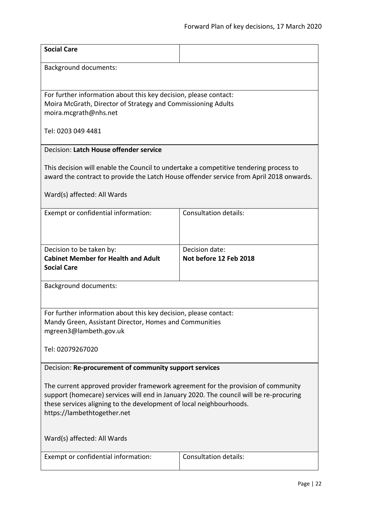<span id="page-21-1"></span><span id="page-21-0"></span>

| <b>Social Care</b>                                                                                                                                                                                                                                                               |                                          |  |
|----------------------------------------------------------------------------------------------------------------------------------------------------------------------------------------------------------------------------------------------------------------------------------|------------------------------------------|--|
| <b>Background documents:</b>                                                                                                                                                                                                                                                     |                                          |  |
| For further information about this key decision, please contact:<br>Moira McGrath, Director of Strategy and Commissioning Adults<br>moira.mcgrath@nhs.net                                                                                                                        |                                          |  |
| Tel: 0203 049 4481                                                                                                                                                                                                                                                               |                                          |  |
| Decision: Latch House offender service                                                                                                                                                                                                                                           |                                          |  |
| This decision will enable the Council to undertake a competitive tendering process to<br>award the contract to provide the Latch House offender service from April 2018 onwards.                                                                                                 |                                          |  |
| Ward(s) affected: All Wards                                                                                                                                                                                                                                                      |                                          |  |
| Exempt or confidential information:                                                                                                                                                                                                                                              | <b>Consultation details:</b>             |  |
| Decision to be taken by:<br><b>Cabinet Member for Health and Adult</b><br><b>Social Care</b>                                                                                                                                                                                     | Decision date:<br>Not before 12 Feb 2018 |  |
| <b>Background documents:</b>                                                                                                                                                                                                                                                     |                                          |  |
| For further information about this key decision, please contact:<br>Mandy Green, Assistant Director, Homes and Communities<br>mgreen3@lambeth.gov.uk                                                                                                                             |                                          |  |
| Tel: 02079267020                                                                                                                                                                                                                                                                 |                                          |  |
| Decision: Re-procurement of community support services                                                                                                                                                                                                                           |                                          |  |
| The current approved provider framework agreement for the provision of community<br>support (homecare) services will end in January 2020. The council will be re-procuring<br>these services aligning to the development of local neighbourhoods.<br>https://lambethtogether.net |                                          |  |
| Ward(s) affected: All Wards                                                                                                                                                                                                                                                      |                                          |  |
| Exempt or confidential information:                                                                                                                                                                                                                                              | <b>Consultation details:</b>             |  |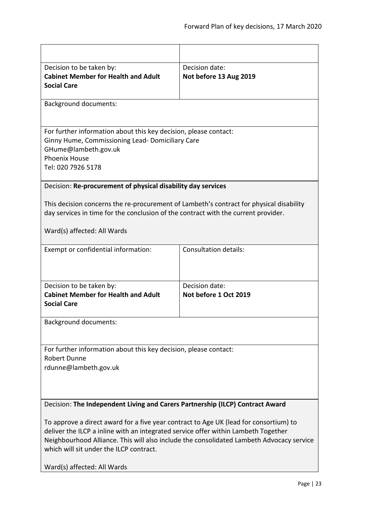<span id="page-22-1"></span><span id="page-22-0"></span>

| Decision to be taken by:                                                                 | Decision date:               |  |
|------------------------------------------------------------------------------------------|------------------------------|--|
| <b>Cabinet Member for Health and Adult</b>                                               | Not before 13 Aug 2019       |  |
|                                                                                          |                              |  |
| <b>Social Care</b>                                                                       |                              |  |
| <b>Background documents:</b>                                                             |                              |  |
|                                                                                          |                              |  |
| For further information about this key decision, please contact:                         |                              |  |
| Ginny Hume, Commissioning Lead- Domiciliary Care                                         |                              |  |
| GHume@lambeth.gov.uk                                                                     |                              |  |
| <b>Phoenix House</b>                                                                     |                              |  |
| Tel: 020 7926 5178                                                                       |                              |  |
|                                                                                          |                              |  |
| Decision: Re-procurement of physical disability day services                             |                              |  |
|                                                                                          |                              |  |
| This decision concerns the re-procurement of Lambeth's contract for physical disability  |                              |  |
| day services in time for the conclusion of the contract with the current provider.       |                              |  |
|                                                                                          |                              |  |
| Ward(s) affected: All Wards                                                              |                              |  |
|                                                                                          |                              |  |
| Exempt or confidential information:                                                      | <b>Consultation details:</b> |  |
|                                                                                          |                              |  |
|                                                                                          |                              |  |
|                                                                                          |                              |  |
| Decision to be taken by:                                                                 | Decision date:               |  |
| <b>Cabinet Member for Health and Adult</b>                                               | Not before 1 Oct 2019        |  |
| <b>Social Care</b>                                                                       |                              |  |
|                                                                                          |                              |  |
| <b>Background documents:</b>                                                             |                              |  |
|                                                                                          |                              |  |
|                                                                                          |                              |  |
| For further information about this key decision, please contact:                         |                              |  |
| <b>Robert Dunne</b>                                                                      |                              |  |
| rdunne@lambeth.gov.uk                                                                    |                              |  |
|                                                                                          |                              |  |
|                                                                                          |                              |  |
|                                                                                          |                              |  |
|                                                                                          |                              |  |
| Decision: The Independent Living and Carers Partnership (ILCP) Contract Award            |                              |  |
|                                                                                          |                              |  |
| To approve a direct award for a five year contract to Age UK (lead for consortium) to    |                              |  |
| deliver the ILCP a inline with an integrated service offer within Lambeth Together       |                              |  |
| Neighbourhood Alliance. This will also include the consolidated Lambeth Advocacy service |                              |  |
| which will sit under the ILCP contract.                                                  |                              |  |
|                                                                                          |                              |  |
| Ward(s) affected: All Wards                                                              |                              |  |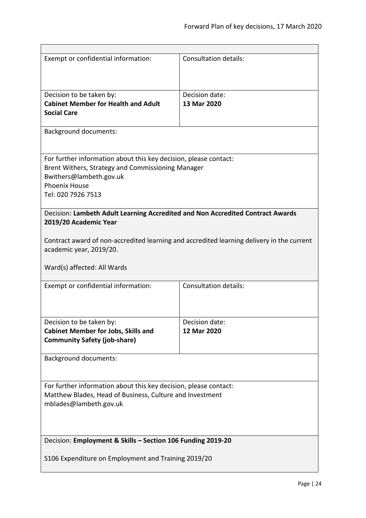<span id="page-23-1"></span><span id="page-23-0"></span>

| Exempt or confidential information:                                                                                                                                                            | <b>Consultation details:</b>  |  |
|------------------------------------------------------------------------------------------------------------------------------------------------------------------------------------------------|-------------------------------|--|
| Decision to be taken by:<br><b>Cabinet Member for Health and Adult</b><br><b>Social Care</b>                                                                                                   | Decision date:<br>13 Mar 2020 |  |
| <b>Background documents:</b>                                                                                                                                                                   |                               |  |
| For further information about this key decision, please contact:<br>Brent Withers, Strategy and Commissioning Manager<br>Bwithers@lambeth.gov.uk<br><b>Phoenix House</b><br>Tel: 020 7926 7513 |                               |  |
| Decision: Lambeth Adult Learning Accredited and Non Accredited Contract Awards<br>2019/20 Academic Year                                                                                        |                               |  |
| Contract award of non-accredited learning and accredited learning delivery in the current<br>academic year, 2019/20.<br>Ward(s) affected: All Wards                                            |                               |  |
| Exempt or confidential information:                                                                                                                                                            | <b>Consultation details:</b>  |  |
| Decision to be taken by:<br><b>Cabinet Member for Jobs, Skills and</b><br><b>Community Safety (job-share)</b>                                                                                  | Decision date:<br>12 Mar 2020 |  |
| <b>Background documents:</b>                                                                                                                                                                   |                               |  |
| For further information about this key decision, please contact:<br>Matthew Blades, Head of Business, Culture and Investment<br>mblades@lambeth.gov.uk                                         |                               |  |
| Decision: Employment & Skills - Section 106 Funding 2019-20                                                                                                                                    |                               |  |
| S106 Expenditure on Employment and Training 2019/20                                                                                                                                            |                               |  |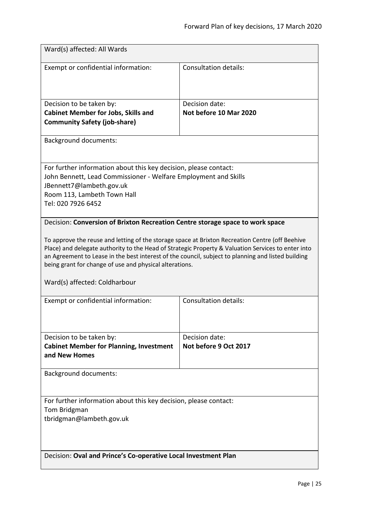<span id="page-24-1"></span><span id="page-24-0"></span>

| Ward(s) affected: All Wards                                                                                                                                                                                                                                                                                                                                                                                                                                                              |                                          |  |
|------------------------------------------------------------------------------------------------------------------------------------------------------------------------------------------------------------------------------------------------------------------------------------------------------------------------------------------------------------------------------------------------------------------------------------------------------------------------------------------|------------------------------------------|--|
| Exempt or confidential information:                                                                                                                                                                                                                                                                                                                                                                                                                                                      | <b>Consultation details:</b>             |  |
| Decision to be taken by:<br><b>Cabinet Member for Jobs, Skills and</b><br><b>Community Safety (job-share)</b>                                                                                                                                                                                                                                                                                                                                                                            | Decision date:<br>Not before 10 Mar 2020 |  |
| <b>Background documents:</b>                                                                                                                                                                                                                                                                                                                                                                                                                                                             |                                          |  |
| For further information about this key decision, please contact:<br>John Bennett, Lead Commissioner - Welfare Employment and Skills<br>JBennett7@lambeth.gov.uk<br>Room 113, Lambeth Town Hall<br>Tel: 020 7926 6452                                                                                                                                                                                                                                                                     |                                          |  |
| Decision: Conversion of Brixton Recreation Centre storage space to work space<br>To approve the reuse and letting of the storage space at Brixton Recreation Centre (off Beehive<br>Place) and delegate authority to the Head of Strategic Property & Valuation Services to enter into<br>an Agreement to Lease in the best interest of the council, subject to planning and listed building<br>being grant for change of use and physical alterations.<br>Ward(s) affected: Coldharbour |                                          |  |
| Exempt or confidential information:                                                                                                                                                                                                                                                                                                                                                                                                                                                      | <b>Consultation details:</b>             |  |
| Decision to be taken by:<br><b>Cabinet Member for Planning, Investment</b><br>and New Homes                                                                                                                                                                                                                                                                                                                                                                                              | Decision date:<br>Not before 9 Oct 2017  |  |
| <b>Background documents:</b>                                                                                                                                                                                                                                                                                                                                                                                                                                                             |                                          |  |
| For further information about this key decision, please contact:<br>Tom Bridgman<br>tbridgman@lambeth.gov.uk                                                                                                                                                                                                                                                                                                                                                                             |                                          |  |
| Decision: Oval and Prince's Co-operative Local Investment Plan                                                                                                                                                                                                                                                                                                                                                                                                                           |                                          |  |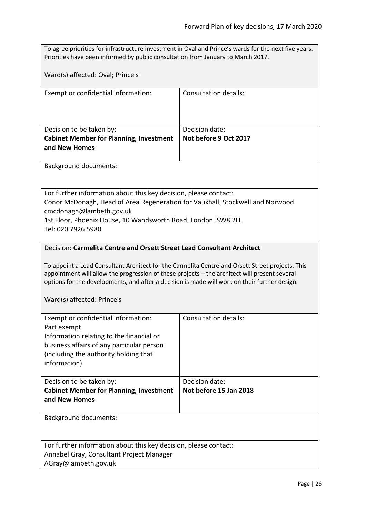<span id="page-25-0"></span>

| To agree priorities for infrastructure investment in Oval and Prince's wards for the next five years.<br>Priorities have been informed by public consultation from January to March 2017.                                                                                                          |                                          |  |
|----------------------------------------------------------------------------------------------------------------------------------------------------------------------------------------------------------------------------------------------------------------------------------------------------|------------------------------------------|--|
| Ward(s) affected: Oval; Prince's                                                                                                                                                                                                                                                                   |                                          |  |
| Exempt or confidential information:                                                                                                                                                                                                                                                                | <b>Consultation details:</b>             |  |
|                                                                                                                                                                                                                                                                                                    |                                          |  |
| Decision to be taken by:<br><b>Cabinet Member for Planning, Investment</b><br>and New Homes                                                                                                                                                                                                        | Decision date:<br>Not before 9 Oct 2017  |  |
| <b>Background documents:</b>                                                                                                                                                                                                                                                                       |                                          |  |
| For further information about this key decision, please contact:<br>Conor McDonagh, Head of Area Regeneration for Vauxhall, Stockwell and Norwood<br>cmcdonagh@lambeth.gov.uk<br>1st Floor, Phoenix House, 10 Wandsworth Road, London, SW8 2LL<br>Tel: 020 7926 5980                               |                                          |  |
| Decision: Carmelita Centre and Orsett Street Lead Consultant Architect                                                                                                                                                                                                                             |                                          |  |
| To appoint a Lead Consultant Architect for the Carmelita Centre and Orsett Street projects. This<br>appointment will allow the progression of these projects - the architect will present several<br>options for the developments, and after a decision is made will work on their further design. |                                          |  |
| Ward(s) affected: Prince's                                                                                                                                                                                                                                                                         |                                          |  |
| Exempt or confidential information:<br>Part exempt<br>Information relating to the financial or<br>business affairs of any particular person<br>(including the authority holding that<br>information)                                                                                               | <b>Consultation details:</b>             |  |
| Decision to be taken by:<br><b>Cabinet Member for Planning, Investment</b><br>and New Homes                                                                                                                                                                                                        | Decision date:<br>Not before 15 Jan 2018 |  |
| <b>Background documents:</b>                                                                                                                                                                                                                                                                       |                                          |  |
| For further information about this key decision, please contact:<br>Annabel Gray, Consultant Project Manager                                                                                                                                                                                       |                                          |  |
| AGray@lambeth.gov.uk                                                                                                                                                                                                                                                                               |                                          |  |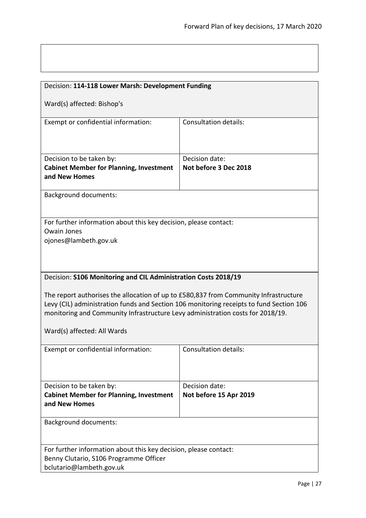<span id="page-26-1"></span><span id="page-26-0"></span>

| Decision: 114-118 Lower Marsh: Development Funding                                      |                              |  |
|-----------------------------------------------------------------------------------------|------------------------------|--|
|                                                                                         |                              |  |
| Ward(s) affected: Bishop's                                                              |                              |  |
| Exempt or confidential information:                                                     | Consultation details:        |  |
|                                                                                         |                              |  |
|                                                                                         |                              |  |
|                                                                                         |                              |  |
| Decision to be taken by:                                                                | Decision date:               |  |
| <b>Cabinet Member for Planning, Investment</b>                                          | Not before 3 Dec 2018        |  |
| and New Homes                                                                           |                              |  |
|                                                                                         |                              |  |
| <b>Background documents:</b>                                                            |                              |  |
|                                                                                         |                              |  |
| For further information about this key decision, please contact:                        |                              |  |
| <b>Owain Jones</b>                                                                      |                              |  |
| ojones@lambeth.gov.uk                                                                   |                              |  |
|                                                                                         |                              |  |
|                                                                                         |                              |  |
|                                                                                         |                              |  |
| Decision: S106 Monitoring and CIL Administration Costs 2018/19                          |                              |  |
|                                                                                         |                              |  |
| The report authorises the allocation of up to £580,837 from Community Infrastructure    |                              |  |
| Levy (CIL) administration funds and Section 106 monitoring receipts to fund Section 106 |                              |  |
| monitoring and Community Infrastructure Levy administration costs for 2018/19.          |                              |  |
| Ward(s) affected: All Wards                                                             |                              |  |
|                                                                                         |                              |  |
| Exempt or confidential information:                                                     | <b>Consultation details:</b> |  |
|                                                                                         |                              |  |
|                                                                                         |                              |  |
|                                                                                         |                              |  |
| Decision to be taken by:                                                                | Decision date:               |  |
| <b>Cabinet Member for Planning, Investment</b>                                          | Not before 15 Apr 2019       |  |
| and New Homes                                                                           |                              |  |
| <b>Background documents:</b>                                                            |                              |  |
|                                                                                         |                              |  |
|                                                                                         |                              |  |
| For further information about this key decision, please contact:                        |                              |  |
| Benny Clutario, S106 Programme Officer                                                  |                              |  |
| bclutario@lambeth.gov.uk                                                                |                              |  |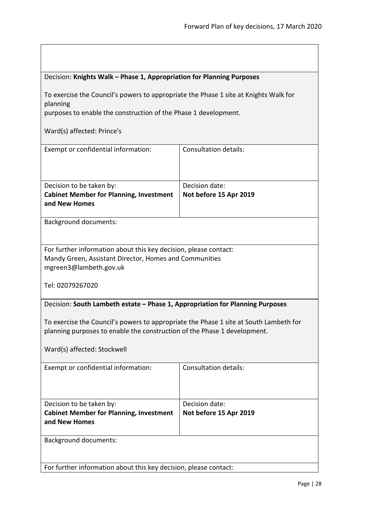<span id="page-27-1"></span><span id="page-27-0"></span>

| Decision: Knights Walk - Phase 1, Appropriation for Planning Purposes                                                                                             |                                          |  |
|-------------------------------------------------------------------------------------------------------------------------------------------------------------------|------------------------------------------|--|
| To exercise the Council's powers to appropriate the Phase 1 site at Knights Walk for<br>planning                                                                  |                                          |  |
| purposes to enable the construction of the Phase 1 development.                                                                                                   |                                          |  |
| Ward(s) affected: Prince's                                                                                                                                        |                                          |  |
| Exempt or confidential information:                                                                                                                               | <b>Consultation details:</b>             |  |
| Decision to be taken by:<br><b>Cabinet Member for Planning, Investment</b><br>and New Homes                                                                       | Decision date:<br>Not before 15 Apr 2019 |  |
| <b>Background documents:</b>                                                                                                                                      |                                          |  |
| For further information about this key decision, please contact:<br>Mandy Green, Assistant Director, Homes and Communities<br>mgreen3@lambeth.gov.uk              |                                          |  |
| Tel: 02079267020                                                                                                                                                  |                                          |  |
| Decision: South Lambeth estate - Phase 1, Appropriation for Planning Purposes                                                                                     |                                          |  |
| To exercise the Council's powers to appropriate the Phase 1 site at South Lambeth for<br>planning purposes to enable the construction of the Phase 1 development. |                                          |  |
| Ward(s) affected: Stockwell                                                                                                                                       |                                          |  |
| Exempt or confidential information:                                                                                                                               | <b>Consultation details:</b>             |  |
| Decision to be taken by:                                                                                                                                          | Decision date:                           |  |
| <b>Cabinet Member for Planning, Investment</b><br>and New Homes                                                                                                   | Not before 15 Apr 2019                   |  |
| <b>Background documents:</b>                                                                                                                                      |                                          |  |
| For further information about this key decision, please contact:                                                                                                  |                                          |  |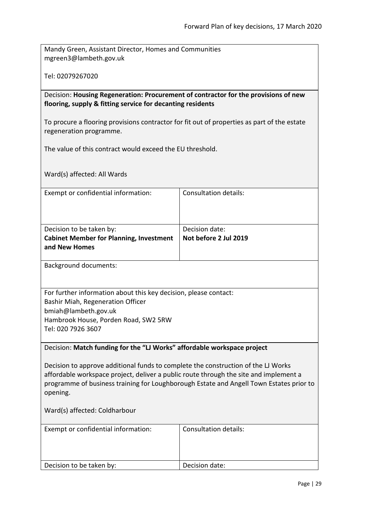Mandy Green, Assistant Director, Homes and Communities mgreen3@lambeth.gov.uk

Tel: 02079267020

<span id="page-28-0"></span>Decision: **Housing Regeneration: Procurement of contractor for the provisions of new flooring, supply & fitting service for decanting residents**

To procure a flooring provisions contractor for fit out of properties as part of the estate regeneration programme.

The value of this contract would exceed the EU threshold.

Ward(s) affected: All Wards

| Exempt or confidential information:            | Consultation details: |
|------------------------------------------------|-----------------------|
|                                                |                       |
|                                                |                       |
|                                                |                       |
| Decision to be taken by:                       | Decision date:        |
| <b>Cabinet Member for Planning, Investment</b> | Not before 2 Jul 2019 |
| and New Homes                                  |                       |

Background documents:

For further information about this key decision, please contact: Bashir Miah, Regeneration Officer bmiah@lambeth.gov.uk Hambrook House, Porden Road, SW2 5RW Tel: 020 7926 3607

<span id="page-28-1"></span>Decision: **Match funding for the "LJ Works" affordable workspace project**

Decision to approve additional funds to complete the construction of the LJ Works affordable workspace project, deliver a public route through the site and implement a programme of business training for Loughborough Estate and Angell Town Estates prior to opening.

Ward(s) affected: Coldharbour

| Exempt or confidential information: | Consultation details: |
|-------------------------------------|-----------------------|
|                                     |                       |
| Decision to be taken by:            | Decision date:        |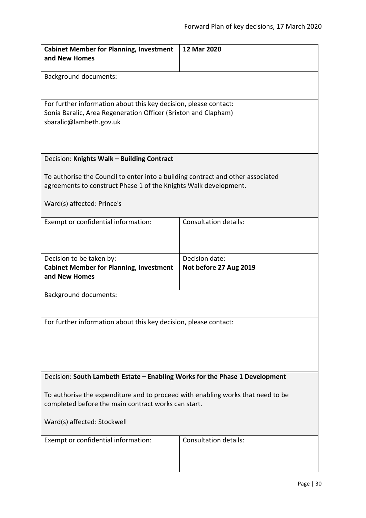<span id="page-29-1"></span><span id="page-29-0"></span>

| <b>Cabinet Member for Planning, Investment</b>                                  | 12 Mar 2020                  |  |
|---------------------------------------------------------------------------------|------------------------------|--|
| and New Homes                                                                   |                              |  |
|                                                                                 |                              |  |
| <b>Background documents:</b>                                                    |                              |  |
|                                                                                 |                              |  |
|                                                                                 |                              |  |
| For further information about this key decision, please contact:                |                              |  |
| Sonia Baralic, Area Regeneration Officer (Brixton and Clapham)                  |                              |  |
| sbaralic@lambeth.gov.uk                                                         |                              |  |
|                                                                                 |                              |  |
|                                                                                 |                              |  |
|                                                                                 |                              |  |
| Decision: Knights Walk - Building Contract                                      |                              |  |
| To authorise the Council to enter into a building contract and other associated |                              |  |
| agreements to construct Phase 1 of the Knights Walk development.                |                              |  |
|                                                                                 |                              |  |
| Ward(s) affected: Prince's                                                      |                              |  |
|                                                                                 |                              |  |
| Exempt or confidential information:                                             | Consultation details:        |  |
|                                                                                 |                              |  |
|                                                                                 |                              |  |
|                                                                                 |                              |  |
| Decision to be taken by:                                                        | Decision date:               |  |
| <b>Cabinet Member for Planning, Investment</b>                                  | Not before 27 Aug 2019       |  |
| and New Homes                                                                   |                              |  |
|                                                                                 |                              |  |
| <b>Background documents:</b>                                                    |                              |  |
|                                                                                 |                              |  |
|                                                                                 |                              |  |
| For further information about this key decision, please contact:                |                              |  |
|                                                                                 |                              |  |
|                                                                                 |                              |  |
|                                                                                 |                              |  |
|                                                                                 |                              |  |
|                                                                                 |                              |  |
| Decision: South Lambeth Estate - Enabling Works for the Phase 1 Development     |                              |  |
| To authorise the expenditure and to proceed with enabling works that need to be |                              |  |
| completed before the main contract works can start.                             |                              |  |
|                                                                                 |                              |  |
| Ward(s) affected: Stockwell                                                     |                              |  |
|                                                                                 |                              |  |
| Exempt or confidential information:                                             | <b>Consultation details:</b> |  |
|                                                                                 |                              |  |
|                                                                                 |                              |  |
|                                                                                 |                              |  |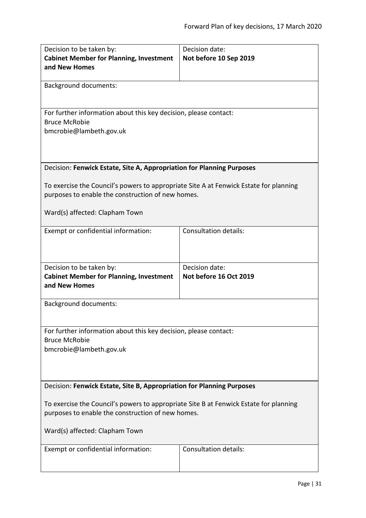<span id="page-30-1"></span><span id="page-30-0"></span>

| Decision to be taken by:<br><b>Cabinet Member for Planning, Investment</b>                                                                 | Decision date:<br>Not before 10 Sep 2019 |  |
|--------------------------------------------------------------------------------------------------------------------------------------------|------------------------------------------|--|
| and New Homes                                                                                                                              |                                          |  |
| <b>Background documents:</b>                                                                                                               |                                          |  |
| For further information about this key decision, please contact:<br><b>Bruce McRobie</b>                                                   |                                          |  |
| bmcrobie@lambeth.gov.uk                                                                                                                    |                                          |  |
| Decision: Fenwick Estate, Site A, Appropriation for Planning Purposes                                                                      |                                          |  |
| To exercise the Council's powers to appropriate Site A at Fenwick Estate for planning<br>purposes to enable the construction of new homes. |                                          |  |
| Ward(s) affected: Clapham Town                                                                                                             |                                          |  |
| Exempt or confidential information:                                                                                                        | <b>Consultation details:</b>             |  |
| Decision to be taken by:                                                                                                                   | Decision date:                           |  |
| <b>Cabinet Member for Planning, Investment</b><br>and New Homes                                                                            | Not before 16 Oct 2019                   |  |
| <b>Background documents:</b>                                                                                                               |                                          |  |
| For further information about this key decision, please contact:<br><b>Bruce McRobie</b>                                                   |                                          |  |
| bmcrobie@lambeth.gov.uk                                                                                                                    |                                          |  |
| Decision: Fenwick Estate, Site B, Appropriation for Planning Purposes                                                                      |                                          |  |
| To exercise the Council's powers to appropriate Site B at Fenwick Estate for planning                                                      |                                          |  |
| purposes to enable the construction of new homes.                                                                                          |                                          |  |
| Ward(s) affected: Clapham Town                                                                                                             |                                          |  |
| Exempt or confidential information:                                                                                                        | <b>Consultation details:</b>             |  |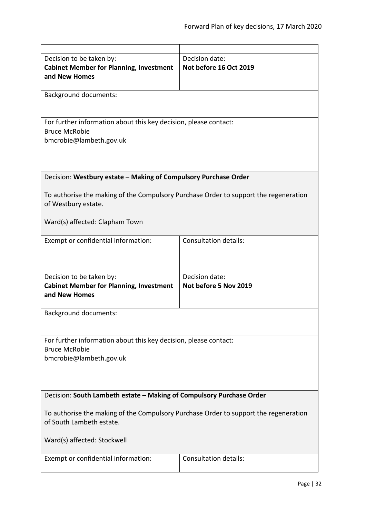<span id="page-31-1"></span><span id="page-31-0"></span>

| Decision to be taken by:<br><b>Cabinet Member for Planning, Investment</b><br>and New Homes                                                     | Decision date:<br>Not before 16 Oct 2019 |  |
|-------------------------------------------------------------------------------------------------------------------------------------------------|------------------------------------------|--|
| <b>Background documents:</b>                                                                                                                    |                                          |  |
| For further information about this key decision, please contact:<br><b>Bruce McRobie</b><br>bmcrobie@lambeth.gov.uk                             |                                          |  |
| Decision: Westbury estate - Making of Compulsory Purchase Order                                                                                 |                                          |  |
| To authorise the making of the Compulsory Purchase Order to support the regeneration<br>of Westbury estate.<br>Ward(s) affected: Clapham Town   |                                          |  |
| Exempt or confidential information:                                                                                                             | <b>Consultation details:</b>             |  |
| Decision to be taken by:<br><b>Cabinet Member for Planning, Investment</b><br>and New Homes                                                     | Decision date:<br>Not before 5 Nov 2019  |  |
| <b>Background documents:</b>                                                                                                                    |                                          |  |
| For further information about this key decision, please contact:<br><b>Bruce McRobie</b><br>bmcrobie@lambeth.gov.uk                             |                                          |  |
| Decision: South Lambeth estate - Making of Compulsory Purchase Order                                                                            |                                          |  |
| To authorise the making of the Compulsory Purchase Order to support the regeneration<br>of South Lambeth estate.<br>Ward(s) affected: Stockwell |                                          |  |
| Exempt or confidential information:                                                                                                             | Consultation details:                    |  |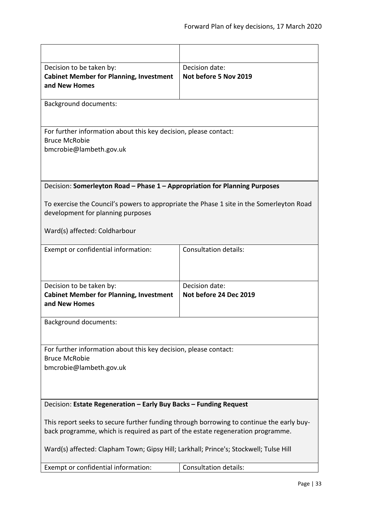<span id="page-32-1"></span><span id="page-32-0"></span>

| Decision to be taken by:<br><b>Cabinet Member for Planning, Investment</b><br>and New Homes                                                                                 | Decision date:<br>Not before 5 Nov 2019 |  |
|-----------------------------------------------------------------------------------------------------------------------------------------------------------------------------|-----------------------------------------|--|
| <b>Background documents:</b>                                                                                                                                                |                                         |  |
| For further information about this key decision, please contact:                                                                                                            |                                         |  |
| <b>Bruce McRobie</b><br>bmcrobie@lambeth.gov.uk                                                                                                                             |                                         |  |
|                                                                                                                                                                             |                                         |  |
| Decision: Somerleyton Road - Phase 1 - Appropriation for Planning Purposes                                                                                                  |                                         |  |
| To exercise the Council's powers to appropriate the Phase 1 site in the Somerleyton Road<br>development for planning purposes                                               |                                         |  |
| Ward(s) affected: Coldharbour                                                                                                                                               |                                         |  |
| Exempt or confidential information:                                                                                                                                         | <b>Consultation details:</b>            |  |
| Decision to be taken by:                                                                                                                                                    | Decision date:                          |  |
| <b>Cabinet Member for Planning, Investment</b><br>and New Homes                                                                                                             | Not before 24 Dec 2019                  |  |
| <b>Background documents:</b>                                                                                                                                                |                                         |  |
| For further information about this key decision, please contact:<br><b>Bruce McRobie</b><br>bmcrobie@lambeth.gov.uk                                                         |                                         |  |
| Decision: Estate Regeneration - Early Buy Backs - Funding Request                                                                                                           |                                         |  |
| This report seeks to secure further funding through borrowing to continue the early buy-<br>back programme, which is required as part of the estate regeneration programme. |                                         |  |
| Ward(s) affected: Clapham Town; Gipsy Hill; Larkhall; Prince's; Stockwell; Tulse Hill                                                                                       |                                         |  |
| Exempt or confidential information:                                                                                                                                         | <b>Consultation details:</b>            |  |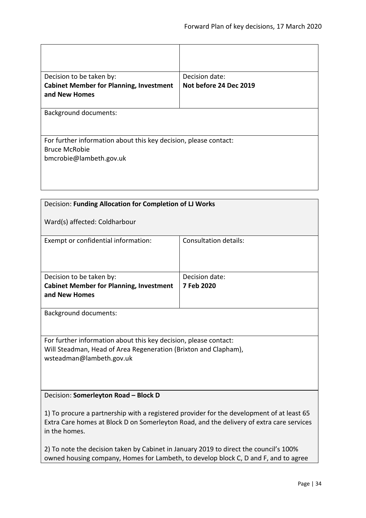| Decision to be taken by:<br><b>Cabinet Member for Planning, Investment</b><br>and New Homes                         | Decision date:<br>Not before 24 Dec 2019 |
|---------------------------------------------------------------------------------------------------------------------|------------------------------------------|
| <b>Background documents:</b>                                                                                        |                                          |
| For further information about this key decision, please contact:<br><b>Bruce McRobie</b><br>bmcrobie@lambeth.gov.uk |                                          |

<span id="page-33-0"></span>

| Decision: Funding Allocation for Completion of LJ Works                                                   |                              |  |
|-----------------------------------------------------------------------------------------------------------|------------------------------|--|
| Ward(s) affected: Coldharbour                                                                             |                              |  |
| Exempt or confidential information:                                                                       | <b>Consultation details:</b> |  |
| Decision to be taken by:                                                                                  | Decision date:               |  |
| <b>Cabinet Member for Planning, Investment</b><br>and New Homes                                           | 7 Feb 2020                   |  |
|                                                                                                           |                              |  |
| <b>Background documents:</b>                                                                              |                              |  |
|                                                                                                           |                              |  |
| For further information about this key decision, please contact:                                          |                              |  |
| Will Steadman, Head of Area Regeneration (Brixton and Clapham),                                           |                              |  |
| wsteadman@lambeth.gov.uk                                                                                  |                              |  |
|                                                                                                           |                              |  |
|                                                                                                           |                              |  |
| Decision: Somerleyton Road - Block D                                                                      |                              |  |
| 1) To procure a partnership with a registered provider for the development of at least 65                 |                              |  |
| Extra Care homes at Block D on Somerleyton Road, and the delivery of extra care services<br>in the homes. |                              |  |
|                                                                                                           |                              |  |

<span id="page-33-1"></span>2) To note the decision taken by Cabinet in January 2019 to direct the council's 100% owned housing company, Homes for Lambeth, to develop block C, D and F, and to agree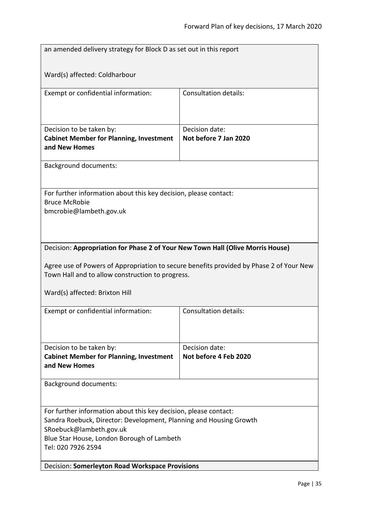<span id="page-34-1"></span><span id="page-34-0"></span>

|                                                                                                                                             | an amended delivery strategy for Block D as set out in this report             |  |  |
|---------------------------------------------------------------------------------------------------------------------------------------------|--------------------------------------------------------------------------------|--|--|
|                                                                                                                                             |                                                                                |  |  |
| Ward(s) affected: Coldharbour                                                                                                               |                                                                                |  |  |
| Exempt or confidential information:                                                                                                         | <b>Consultation details:</b>                                                   |  |  |
|                                                                                                                                             |                                                                                |  |  |
|                                                                                                                                             | Decision date:                                                                 |  |  |
| Decision to be taken by:<br><b>Cabinet Member for Planning, Investment</b>                                                                  | Not before 7 Jan 2020                                                          |  |  |
| and New Homes                                                                                                                               |                                                                                |  |  |
| <b>Background documents:</b>                                                                                                                |                                                                                |  |  |
|                                                                                                                                             |                                                                                |  |  |
| For further information about this key decision, please contact:                                                                            |                                                                                |  |  |
| <b>Bruce McRobie</b><br>bmcrobie@lambeth.gov.uk                                                                                             |                                                                                |  |  |
|                                                                                                                                             |                                                                                |  |  |
|                                                                                                                                             |                                                                                |  |  |
|                                                                                                                                             | Decision: Appropriation for Phase 2 of Your New Town Hall (Olive Morris House) |  |  |
|                                                                                                                                             |                                                                                |  |  |
| Agree use of Powers of Appropriation to secure benefits provided by Phase 2 of Your New<br>Town Hall and to allow construction to progress. |                                                                                |  |  |
|                                                                                                                                             |                                                                                |  |  |
| Ward(s) affected: Brixton Hill                                                                                                              |                                                                                |  |  |
| Exempt or confidential information:                                                                                                         | <b>Consultation details:</b>                                                   |  |  |
|                                                                                                                                             |                                                                                |  |  |
|                                                                                                                                             |                                                                                |  |  |
| Decision to be taken by:<br><b>Cabinet Member for Planning, Investment</b>                                                                  | Decision date:<br>Not before 4 Feb 2020                                        |  |  |
| and New Homes                                                                                                                               |                                                                                |  |  |
| Background documents:                                                                                                                       |                                                                                |  |  |
|                                                                                                                                             |                                                                                |  |  |
| For further information about this key decision, please contact:                                                                            |                                                                                |  |  |
| Sandra Roebuck, Director: Development, Planning and Housing Growth                                                                          |                                                                                |  |  |
| SRoebuck@lambeth.gov.uk<br>Blue Star House, London Borough of Lambeth                                                                       |                                                                                |  |  |
| Tel: 020 7926 2594                                                                                                                          |                                                                                |  |  |
| Decision: Somerleyton Road Workspace Provisions                                                                                             |                                                                                |  |  |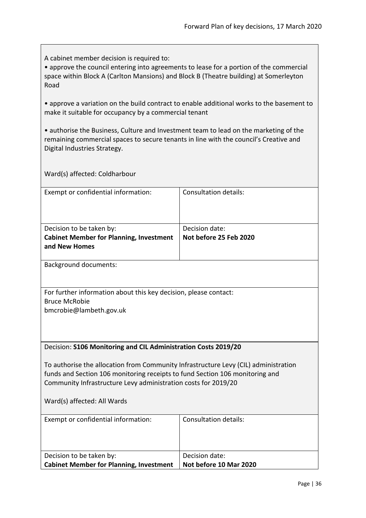A cabinet member decision is required to:

• approve the council entering into agreements to lease for a portion of the commercial space within Block A (Carlton Mansions) and Block B (Theatre building) at Somerleyton Road

• approve a variation on the build contract to enable additional works to the basement to make it suitable for occupancy by a commercial tenant

• authorise the Business, Culture and Investment team to lead on the marketing of the remaining commercial spaces to secure tenants in line with the council's Creative and Digital Industries Strategy.

Ward(s) affected: Coldharbour

| Exempt or confidential information:            | Consultation details:  |
|------------------------------------------------|------------------------|
|                                                |                        |
|                                                |                        |
|                                                |                        |
| Decision to be taken by:                       | Decision date:         |
| <b>Cabinet Member for Planning, Investment</b> | Not before 25 Feb 2020 |
| and New Homes                                  |                        |

Background documents:

For further information about this key decision, please contact: Bruce McRobie bmcrobie@lambeth.gov.uk

#### <span id="page-35-0"></span>Decision: **S106 Monitoring and CIL Administration Costs 2019/20**

To authorise the allocation from Community Infrastructure Levy (CIL) administration funds and Section 106 monitoring receipts to fund Section 106 monitoring and Community Infrastructure Levy administration costs for 2019/20

| Exempt or confidential information:            | Consultation details:  |
|------------------------------------------------|------------------------|
|                                                |                        |
| Decision to be taken by:                       | Decision date:         |
| <b>Cabinet Member for Planning, Investment</b> | Not before 10 Mar 2020 |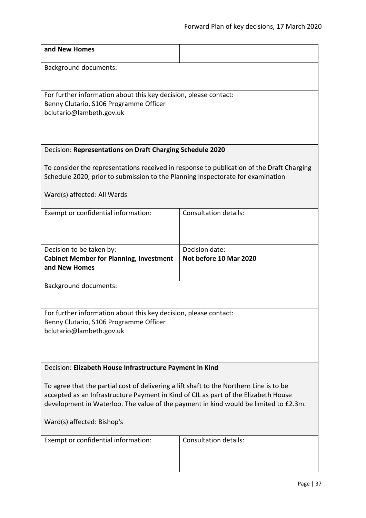<span id="page-36-1"></span><span id="page-36-0"></span>

| and New Homes                                                                                                                                                                                                                                                                                        |                                          |  |
|------------------------------------------------------------------------------------------------------------------------------------------------------------------------------------------------------------------------------------------------------------------------------------------------------|------------------------------------------|--|
| <b>Background documents:</b>                                                                                                                                                                                                                                                                         |                                          |  |
| For further information about this key decision, please contact:<br>Benny Clutario, S106 Programme Officer<br>bclutario@lambeth.gov.uk                                                                                                                                                               |                                          |  |
| Decision: Representations on Draft Charging Schedule 2020                                                                                                                                                                                                                                            |                                          |  |
| To consider the representations received in response to publication of the Draft Charging<br>Schedule 2020, prior to submission to the Planning Inspectorate for examination<br>Ward(s) affected: All Wards                                                                                          |                                          |  |
| Exempt or confidential information:                                                                                                                                                                                                                                                                  | <b>Consultation details:</b>             |  |
| Decision to be taken by:<br><b>Cabinet Member for Planning, Investment</b><br>and New Homes                                                                                                                                                                                                          | Decision date:<br>Not before 10 Mar 2020 |  |
| <b>Background documents:</b>                                                                                                                                                                                                                                                                         |                                          |  |
| For further information about this key decision, please contact:<br>Benny Clutario, S106 Programme Officer<br>bclutario@lambeth.gov.uk                                                                                                                                                               |                                          |  |
| Decision: Elizabeth House Infrastructure Payment in Kind                                                                                                                                                                                                                                             |                                          |  |
| To agree that the partial cost of delivering a lift shaft to the Northern Line is to be<br>accepted as an Infrastructure Payment in Kind of CIL as part of the Elizabeth House<br>development in Waterloo. The value of the payment in kind would be limited to £2.3m.<br>Ward(s) affected: Bishop's |                                          |  |
| Exempt or confidential information:                                                                                                                                                                                                                                                                  | <b>Consultation details:</b>             |  |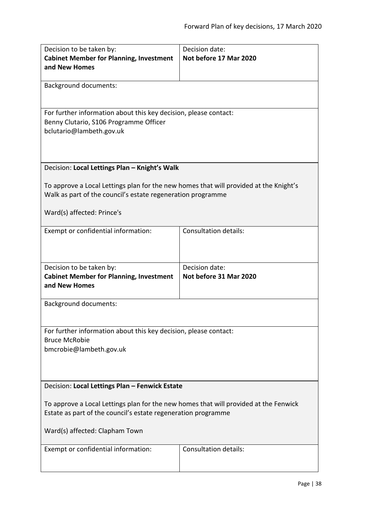<span id="page-37-1"></span><span id="page-37-0"></span>

| Decision to be taken by:<br><b>Cabinet Member for Planning, Investment</b><br>and New Homes                                                                                             | Decision date:<br>Not before 17 Mar 2020 |  |
|-----------------------------------------------------------------------------------------------------------------------------------------------------------------------------------------|------------------------------------------|--|
| Background documents:                                                                                                                                                                   |                                          |  |
| For further information about this key decision, please contact:<br>Benny Clutario, S106 Programme Officer<br>bclutario@lambeth.gov.uk                                                  |                                          |  |
| Decision: Local Lettings Plan - Knight's Walk                                                                                                                                           |                                          |  |
| To approve a Local Lettings plan for the new homes that will provided at the Knight's<br>Walk as part of the council's estate regeneration programme<br>Ward(s) affected: Prince's      |                                          |  |
| Exempt or confidential information:                                                                                                                                                     | <b>Consultation details:</b>             |  |
| Decision to be taken by:                                                                                                                                                                | Decision date:                           |  |
| <b>Cabinet Member for Planning, Investment</b><br>and New Homes                                                                                                                         | Not before 31 Mar 2020                   |  |
| <b>Background documents:</b>                                                                                                                                                            |                                          |  |
| For further information about this key decision, please contact:<br><b>Bruce McRobie</b><br>bmcrobie@lambeth.gov.uk                                                                     |                                          |  |
| Decision: Local Lettings Plan - Fenwick Estate                                                                                                                                          |                                          |  |
| To approve a Local Lettings plan for the new homes that will provided at the Fenwick<br>Estate as part of the council's estate regeneration programme<br>Ward(s) affected: Clapham Town |                                          |  |
| Exempt or confidential information:                                                                                                                                                     | Consultation details:                    |  |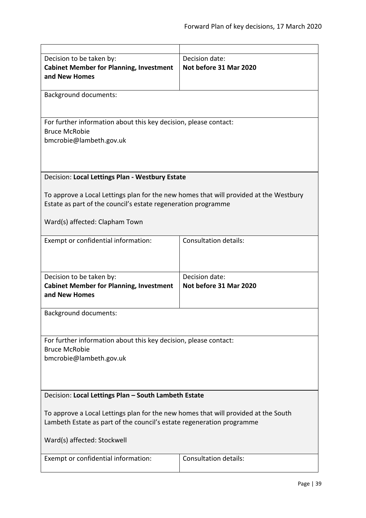<span id="page-38-1"></span><span id="page-38-0"></span>

| Decision to be taken by:                                                              | Decision date:               |
|---------------------------------------------------------------------------------------|------------------------------|
| <b>Cabinet Member for Planning, Investment</b>                                        | Not before 31 Mar 2020       |
| and New Homes                                                                         |                              |
|                                                                                       |                              |
| <b>Background documents:</b>                                                          |                              |
|                                                                                       |                              |
| For further information about this key decision, please contact:                      |                              |
| <b>Bruce McRobie</b>                                                                  |                              |
| bmcrobie@lambeth.gov.uk                                                               |                              |
|                                                                                       |                              |
|                                                                                       |                              |
| Decision: Local Lettings Plan - Westbury Estate                                       |                              |
|                                                                                       |                              |
| To approve a Local Lettings plan for the new homes that will provided at the Westbury |                              |
| Estate as part of the council's estate regeneration programme                         |                              |
|                                                                                       |                              |
| Ward(s) affected: Clapham Town                                                        |                              |
|                                                                                       | <b>Consultation details:</b> |
| Exempt or confidential information:                                                   |                              |
|                                                                                       |                              |
|                                                                                       |                              |
| Decision to be taken by:                                                              | Decision date:               |
| <b>Cabinet Member for Planning, Investment</b>                                        | Not before 31 Mar 2020       |
| and New Homes                                                                         |                              |
| <b>Background documents:</b>                                                          |                              |
|                                                                                       |                              |
|                                                                                       |                              |
| For further information about this key decision, please contact:                      |                              |
| <b>Bruce McRobie</b>                                                                  |                              |
| bmcrobie@lambeth.gov.uk                                                               |                              |
|                                                                                       |                              |
|                                                                                       |                              |
| Decision: Local Lettings Plan - South Lambeth Estate                                  |                              |
|                                                                                       |                              |
| To approve a Local Lettings plan for the new homes that will provided at the South    |                              |
| Lambeth Estate as part of the council's estate regeneration programme                 |                              |
|                                                                                       |                              |
| Ward(s) affected: Stockwell                                                           |                              |
| Exempt or confidential information:                                                   | <b>Consultation details:</b> |
|                                                                                       |                              |
|                                                                                       |                              |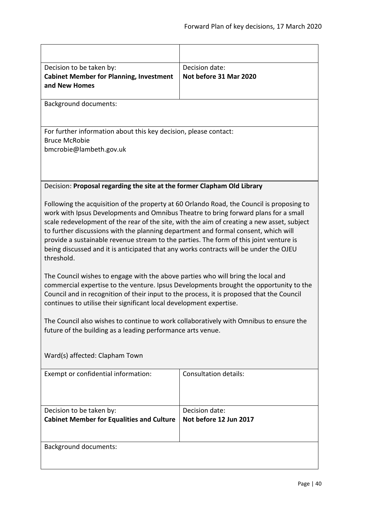<span id="page-39-0"></span>

| Decision to be taken by:<br><b>Cabinet Member for Planning, Investment</b><br>and New Homes                                                                                                                                                                                                                                                                                                                                                                                                                                                                                                                                                                                                                                                                                                                                                                                                                                                                                                                                                                                      | Decision date:<br>Not before 31 Mar 2020 |
|----------------------------------------------------------------------------------------------------------------------------------------------------------------------------------------------------------------------------------------------------------------------------------------------------------------------------------------------------------------------------------------------------------------------------------------------------------------------------------------------------------------------------------------------------------------------------------------------------------------------------------------------------------------------------------------------------------------------------------------------------------------------------------------------------------------------------------------------------------------------------------------------------------------------------------------------------------------------------------------------------------------------------------------------------------------------------------|------------------------------------------|
| <b>Background documents:</b>                                                                                                                                                                                                                                                                                                                                                                                                                                                                                                                                                                                                                                                                                                                                                                                                                                                                                                                                                                                                                                                     |                                          |
| For further information about this key decision, please contact:<br><b>Bruce McRobie</b><br>bmcrobie@lambeth.gov.uk                                                                                                                                                                                                                                                                                                                                                                                                                                                                                                                                                                                                                                                                                                                                                                                                                                                                                                                                                              |                                          |
| Decision: Proposal regarding the site at the former Clapham Old Library                                                                                                                                                                                                                                                                                                                                                                                                                                                                                                                                                                                                                                                                                                                                                                                                                                                                                                                                                                                                          |                                          |
| Following the acquisition of the property at 60 Orlando Road, the Council is proposing to<br>work with Ipsus Developments and Omnibus Theatre to bring forward plans for a small<br>scale redevelopment of the rear of the site, with the aim of creating a new asset, subject<br>to further discussions with the planning department and formal consent, which will<br>provide a sustainable revenue stream to the parties. The form of this joint venture is<br>being discussed and it is anticipated that any works contracts will be under the OJEU<br>threshold.<br>The Council wishes to engage with the above parties who will bring the local and<br>commercial expertise to the venture. Ipsus Developments brought the opportunity to the<br>Council and in recognition of their input to the process, it is proposed that the Council<br>continues to utilise their significant local development expertise.<br>The Council also wishes to continue to work collaboratively with Omnibus to ensure the<br>future of the building as a leading performance arts venue. |                                          |
| Ward(s) affected: Clapham Town                                                                                                                                                                                                                                                                                                                                                                                                                                                                                                                                                                                                                                                                                                                                                                                                                                                                                                                                                                                                                                                   |                                          |
| Exempt or confidential information:                                                                                                                                                                                                                                                                                                                                                                                                                                                                                                                                                                                                                                                                                                                                                                                                                                                                                                                                                                                                                                              | <b>Consultation details:</b>             |
| Decision to be taken by:<br><b>Cabinet Member for Equalities and Culture</b>                                                                                                                                                                                                                                                                                                                                                                                                                                                                                                                                                                                                                                                                                                                                                                                                                                                                                                                                                                                                     | Decision date:<br>Not before 12 Jun 2017 |
| <b>Background documents:</b>                                                                                                                                                                                                                                                                                                                                                                                                                                                                                                                                                                                                                                                                                                                                                                                                                                                                                                                                                                                                                                                     |                                          |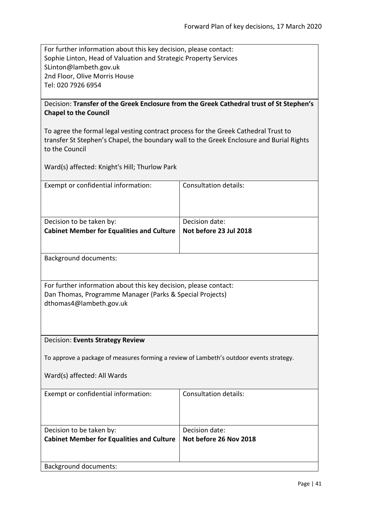For further information about this key decision, please contact: Sophie Linton, Head of Valuation and Strategic Property Services SLinton@lambeth.gov.uk 2nd Floor, Olive Morris House Tel: 020 7926 6954

# <span id="page-40-0"></span>Decision: **Transfer of the Greek Enclosure from the Greek Cathedral trust of St Stephen's Chapel to the Council**

To agree the formal legal vesting contract process for the Greek Cathedral Trust to transfer St Stephen's Chapel, the boundary wall to the Greek Enclosure and Burial Rights to the Council

Ward(s) affected: Knight's Hill; Thurlow Park

| Exempt or confidential information:              | Consultation details:  |
|--------------------------------------------------|------------------------|
|                                                  |                        |
|                                                  |                        |
|                                                  |                        |
| Decision to be taken by:                         | Decision date:         |
| <b>Cabinet Member for Equalities and Culture</b> | Not before 23 Jul 2018 |
|                                                  |                        |
|                                                  |                        |
| <b>Background documents:</b>                     |                        |

For further information about this key decision, please contact: Dan Thomas, Programme Manager (Parks & Special Projects) dthomas4@lambeth.gov.uk

# <span id="page-40-1"></span>Decision: **Events Strategy Review**

To approve a package of measures forming a review of Lambeth's outdoor events strategy.

| Exempt or confidential information:              | Consultation details:  |
|--------------------------------------------------|------------------------|
|                                                  |                        |
|                                                  |                        |
| Decision to be taken by:                         | Decision date:         |
| <b>Cabinet Member for Equalities and Culture</b> | Not before 26 Nov 2018 |
|                                                  |                        |
|                                                  |                        |
| <b>Background documents:</b>                     |                        |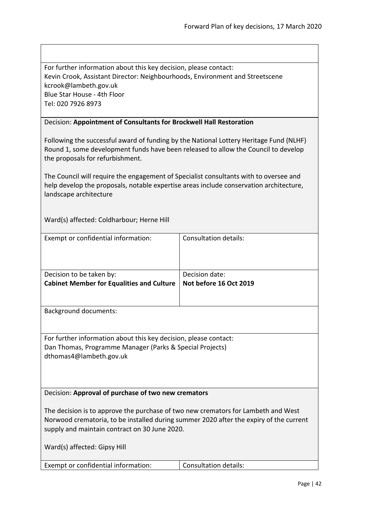| For further information about this key decision, please contact:             |
|------------------------------------------------------------------------------|
| Kevin Crook, Assistant Director: Neighbourhoods, Environment and Streetscene |
| kcrook@lambeth.gov.uk                                                        |
| Blue Star House - 4th Floor                                                  |
| Tel: 020 7926 8973                                                           |

# <span id="page-41-0"></span>Decision: **Appointment of Consultants for Brockwell Hall Restoration**

Following the successful award of funding by the National Lottery Heritage Fund (NLHF) Round 1, some development funds have been released to allow the Council to develop the proposals for refurbishment.

The Council will require the engagement of Specialist consultants with to oversee and help develop the proposals, notable expertise areas include conservation architecture, landscape architecture

Ward(s) affected: Coldharbour; Herne Hill

<span id="page-41-1"></span>

| Exempt or confidential information:                                                                                                                                                                                          | <b>Consultation details:</b> |
|------------------------------------------------------------------------------------------------------------------------------------------------------------------------------------------------------------------------------|------------------------------|
| Decision to be taken by:                                                                                                                                                                                                     | Decision date:               |
| <b>Cabinet Member for Equalities and Culture</b>                                                                                                                                                                             | Not before 16 Oct 2019       |
|                                                                                                                                                                                                                              |                              |
| <b>Background documents:</b>                                                                                                                                                                                                 |                              |
|                                                                                                                                                                                                                              |                              |
| For further information about this key decision, please contact:<br>Dan Thomas, Programme Manager (Parks & Special Projects)<br>dthomas4@lambeth.gov.uk                                                                      |                              |
| Decision: Approval of purchase of two new cremators                                                                                                                                                                          |                              |
| The decision is to approve the purchase of two new cremators for Lambeth and West<br>Norwood crematoria, to be installed during summer 2020 after the expiry of the current<br>supply and maintain contract on 30 June 2020. |                              |
| Ward(s) affected: Gipsy Hill                                                                                                                                                                                                 |                              |
| Exempt or confidential information:                                                                                                                                                                                          | <b>Consultation details:</b> |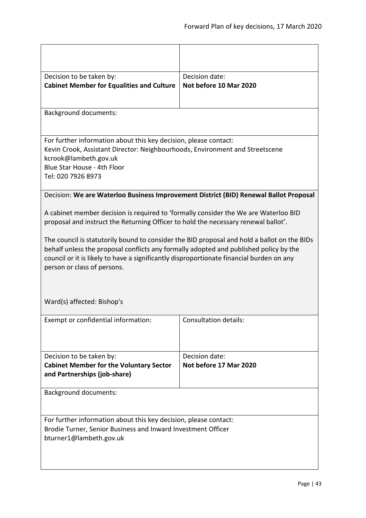<span id="page-42-0"></span>

| Decision to be taken by:<br><b>Cabinet Member for Equalities and Culture</b>                                                                                                                                                                                                                                                                                                                                                                                                                                               | Decision date:<br>Not before 10 Mar 2020                                              |
|----------------------------------------------------------------------------------------------------------------------------------------------------------------------------------------------------------------------------------------------------------------------------------------------------------------------------------------------------------------------------------------------------------------------------------------------------------------------------------------------------------------------------|---------------------------------------------------------------------------------------|
| <b>Background documents:</b>                                                                                                                                                                                                                                                                                                                                                                                                                                                                                               |                                                                                       |
| For further information about this key decision, please contact:<br>Kevin Crook, Assistant Director: Neighbourhoods, Environment and Streetscene<br>kcrook@lambeth.gov.uk<br>Blue Star House - 4th Floor<br>Tel: 020 7926 8973                                                                                                                                                                                                                                                                                             |                                                                                       |
|                                                                                                                                                                                                                                                                                                                                                                                                                                                                                                                            | Decision: We are Waterloo Business Improvement District (BID) Renewal Ballot Proposal |
| A cabinet member decision is required to 'formally consider the We are Waterloo BID<br>proposal and instruct the Returning Officer to hold the necessary renewal ballot'.<br>The council is statutorily bound to consider the BID proposal and hold a ballot on the BIDs<br>behalf unless the proposal conflicts any formally adopted and published policy by the<br>council or it is likely to have a significantly disproportionate financial burden on any<br>person or class of persons.<br>Ward(s) affected: Bishop's |                                                                                       |
| Exempt or confidential information:                                                                                                                                                                                                                                                                                                                                                                                                                                                                                        | <b>Consultation details:</b>                                                          |
| Decision to be taken by:<br><b>Cabinet Member for the Voluntary Sector</b><br>and Partnerships (job-share)                                                                                                                                                                                                                                                                                                                                                                                                                 | Decision date:<br>Not before 17 Mar 2020                                              |
| <b>Background documents:</b>                                                                                                                                                                                                                                                                                                                                                                                                                                                                                               |                                                                                       |
| For further information about this key decision, please contact:<br>Brodie Turner, Senior Business and Inward Investment Officer<br>bturner1@lambeth.gov.uk                                                                                                                                                                                                                                                                                                                                                                |                                                                                       |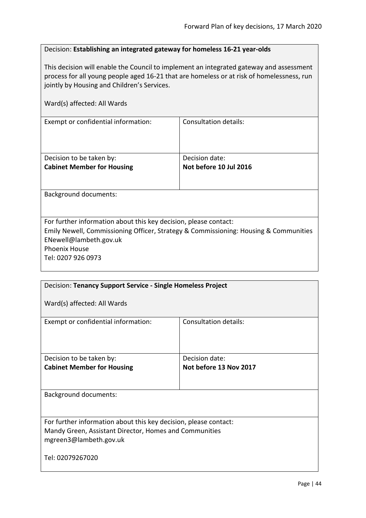# <span id="page-43-0"></span>Decision: **Establishing an integrated gateway for homeless 16-21 year-olds**

This decision will enable the Council to implement an integrated gateway and assessment process for all young people aged 16-21 that are homeless or at risk of homelessness, run jointly by Housing and Children's Services.

| Ward(s) affected: All Wards                                   |                                          |  |
|---------------------------------------------------------------|------------------------------------------|--|
| Exempt or confidential information:                           | <b>Consultation details:</b>             |  |
| Decision to be taken by:<br><b>Cabinet Member for Housing</b> | Decision date:<br>Not before 10 Jul 2016 |  |
| <b>Background documents:</b>                                  |                                          |  |

For further information about this key decision, please contact: Emily Newell, Commissioning Officer, Strategy & Commissioning: Housing & Communities ENewell@lambeth.gov.uk Phoenix House Tel: 0207 926 0973

<span id="page-43-1"></span>

| Decision: Tenancy Support Service - Single Homeless Project                                                                                          |                        |
|------------------------------------------------------------------------------------------------------------------------------------------------------|------------------------|
| Ward(s) affected: All Wards                                                                                                                          |                        |
| Exempt or confidential information:                                                                                                                  | Consultation details:  |
| Decision to be taken by:                                                                                                                             | Decision date:         |
| <b>Cabinet Member for Housing</b>                                                                                                                    | Not before 13 Nov 2017 |
|                                                                                                                                                      |                        |
| <b>Background documents:</b>                                                                                                                         |                        |
| For further information about this key decision, please contact:<br>Mandy Green, Assistant Director, Homes and Communities<br>mgreen3@lambeth.gov.uk |                        |
| Tel: 02079267020                                                                                                                                     |                        |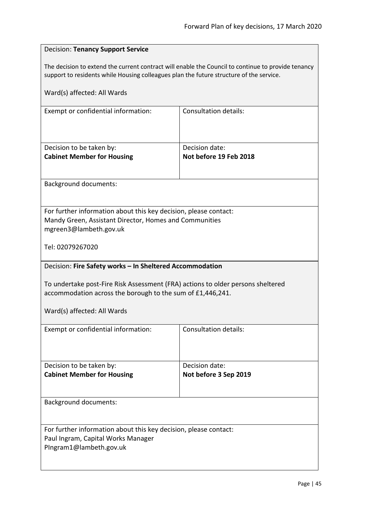<span id="page-44-1"></span><span id="page-44-0"></span>

| <b>Decision: Tenancy Support Service</b>                                                                                                                                                      |                              |
|-----------------------------------------------------------------------------------------------------------------------------------------------------------------------------------------------|------------------------------|
| The decision to extend the current contract will enable the Council to continue to provide tenancy<br>support to residents while Housing colleagues plan the future structure of the service. |                              |
| Ward(s) affected: All Wards                                                                                                                                                                   |                              |
| Exempt or confidential information:                                                                                                                                                           | <b>Consultation details:</b> |
|                                                                                                                                                                                               |                              |
| Decision to be taken by:                                                                                                                                                                      | Decision date:               |
| <b>Cabinet Member for Housing</b>                                                                                                                                                             | Not before 19 Feb 2018       |
| <b>Background documents:</b>                                                                                                                                                                  |                              |
|                                                                                                                                                                                               |                              |
| For further information about this key decision, please contact:<br>Mandy Green, Assistant Director, Homes and Communities<br>mgreen3@lambeth.gov.uk                                          |                              |
| Tel: 02079267020                                                                                                                                                                              |                              |
| Decision: Fire Safety works - In Sheltered Accommodation                                                                                                                                      |                              |
| To undertake post-Fire Risk Assessment (FRA) actions to older persons sheltered<br>accommodation across the borough to the sum of £1,446,241.                                                 |                              |
| Ward(s) affected: All Wards                                                                                                                                                                   |                              |
| Exempt or confidential information:                                                                                                                                                           | <b>Consultation details:</b> |
|                                                                                                                                                                                               |                              |
| Decision to be taken by:                                                                                                                                                                      | Decision date:               |
| <b>Cabinet Member for Housing</b>                                                                                                                                                             | Not before 3 Sep 2019        |
| <b>Background documents:</b>                                                                                                                                                                  |                              |
|                                                                                                                                                                                               |                              |
| For further information about this key decision, please contact:                                                                                                                              |                              |
| Paul Ingram, Capital Works Manager<br>PIngram1@lambeth.gov.uk                                                                                                                                 |                              |
|                                                                                                                                                                                               |                              |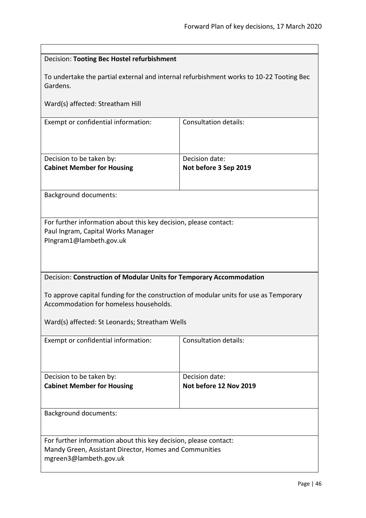<span id="page-45-1"></span><span id="page-45-0"></span>

| Decision: Tooting Bec Hostel refurbishment                                                                                      |                              |
|---------------------------------------------------------------------------------------------------------------------------------|------------------------------|
| To undertake the partial external and internal refurbishment works to 10-22 Tooting Bec<br>Gardens.                             |                              |
| Ward(s) affected: Streatham Hill                                                                                                |                              |
| Exempt or confidential information:                                                                                             | <b>Consultation details:</b> |
| Decision to be taken by:                                                                                                        | Decision date:               |
| <b>Cabinet Member for Housing</b>                                                                                               | Not before 3 Sep 2019        |
| <b>Background documents:</b>                                                                                                    |                              |
| For further information about this key decision, please contact:                                                                |                              |
| Paul Ingram, Capital Works Manager                                                                                              |                              |
| PIngram1@lambeth.gov.uk                                                                                                         |                              |
|                                                                                                                                 |                              |
|                                                                                                                                 |                              |
|                                                                                                                                 |                              |
| Decision: Construction of Modular Units for Temporary Accommodation                                                             |                              |
| To approve capital funding for the construction of modular units for use as Temporary<br>Accommodation for homeless households. |                              |
| Ward(s) affected: St Leonards; Streatham Wells                                                                                  |                              |
| Exempt or confidential information:                                                                                             | <b>Consultation details:</b> |
|                                                                                                                                 |                              |
| Decision to be taken by:<br>Decision date:                                                                                      |                              |
| <b>Cabinet Member for Housing</b>                                                                                               | Not before 12 Nov 2019       |
|                                                                                                                                 |                              |
| <b>Background documents:</b>                                                                                                    |                              |
|                                                                                                                                 |                              |
| For further information about this key decision, please contact:                                                                |                              |
| Mandy Green, Assistant Director, Homes and Communities                                                                          |                              |
| mgreen3@lambeth.gov.uk                                                                                                          |                              |
|                                                                                                                                 |                              |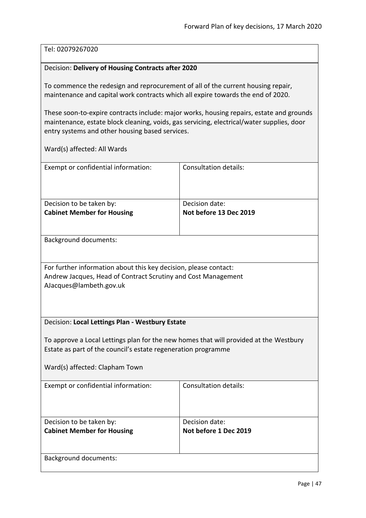# Tel: 02079267020

# <span id="page-46-0"></span>Decision: **Delivery of Housing Contracts after 2020**

To commence the redesign and reprocurement of all of the current housing repair, maintenance and capital work contracts which all expire towards the end of 2020.

These soon-to-expire contracts include: major works, housing repairs, estate and grounds maintenance, estate block cleaning, voids, gas servicing, electrical/water supplies, door entry systems and other housing based services.

<span id="page-46-1"></span>

| Exempt or confidential information:                                                   | <b>Consultation details:</b> |
|---------------------------------------------------------------------------------------|------------------------------|
|                                                                                       |                              |
|                                                                                       | Decision date:               |
| Decision to be taken by:<br><b>Cabinet Member for Housing</b>                         | Not before 13 Dec 2019       |
|                                                                                       |                              |
|                                                                                       |                              |
| Background documents:                                                                 |                              |
|                                                                                       |                              |
| For further information about this key decision, please contact:                      |                              |
| Andrew Jacques, Head of Contract Scrutiny and Cost Management                         |                              |
| AJacques@lambeth.gov.uk                                                               |                              |
|                                                                                       |                              |
|                                                                                       |                              |
| Decision: Local Lettings Plan - Westbury Estate                                       |                              |
|                                                                                       |                              |
| To approve a Local Lettings plan for the new homes that will provided at the Westbury |                              |
| Estate as part of the council's estate regeneration programme                         |                              |
| Ward(s) affected: Clapham Town                                                        |                              |
|                                                                                       |                              |
| Exempt or confidential information:                                                   | <b>Consultation details:</b> |
|                                                                                       |                              |
|                                                                                       |                              |
| Decision to be taken by:                                                              | Decision date:               |
| <b>Cabinet Member for Housing</b>                                                     | Not before 1 Dec 2019        |
|                                                                                       |                              |
| <b>Background documents:</b>                                                          |                              |
|                                                                                       |                              |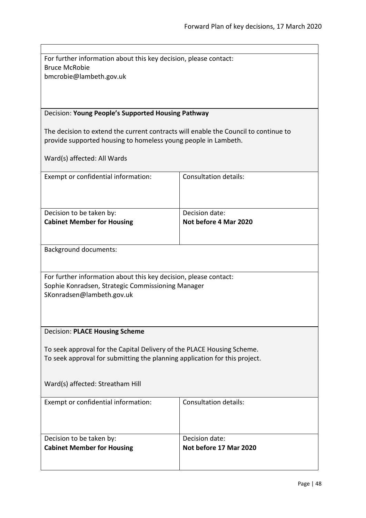| For further information about this key decision, please contact: |
|------------------------------------------------------------------|
| Bruce McRobie                                                    |
| bmcrobie@lambeth.gov.uk                                          |

# <span id="page-47-0"></span>Decision: **Young People's Supported Housing Pathway**

The decision to extend the current contracts will enable the Council to continue to provide supported housing to homeless young people in Lambeth.

<span id="page-47-1"></span>

| Exempt or confidential information:                                        | <b>Consultation details:</b> |
|----------------------------------------------------------------------------|------------------------------|
| Decision to be taken by:                                                   | Decision date:               |
| <b>Cabinet Member for Housing</b>                                          | Not before 4 Mar 2020        |
|                                                                            |                              |
| <b>Background documents:</b>                                               |                              |
| For further information about this key decision, please contact:           |                              |
| Sophie Konradsen, Strategic Commissioning Manager                          |                              |
|                                                                            |                              |
| SKonradsen@lambeth.gov.uk                                                  |                              |
|                                                                            |                              |
| <b>Decision: PLACE Housing Scheme</b>                                      |                              |
|                                                                            |                              |
| To seek approval for the Capital Delivery of the PLACE Housing Scheme.     |                              |
| To seek approval for submitting the planning application for this project. |                              |
|                                                                            |                              |
|                                                                            |                              |
| Ward(s) affected: Streatham Hill                                           |                              |
| Exempt or confidential information:                                        | Consultation details:        |
|                                                                            |                              |
|                                                                            |                              |
|                                                                            |                              |
| Decision to be taken by:                                                   | Decision date:               |
| <b>Cabinet Member for Housing</b>                                          | Not before 17 Mar 2020       |
|                                                                            |                              |
|                                                                            |                              |